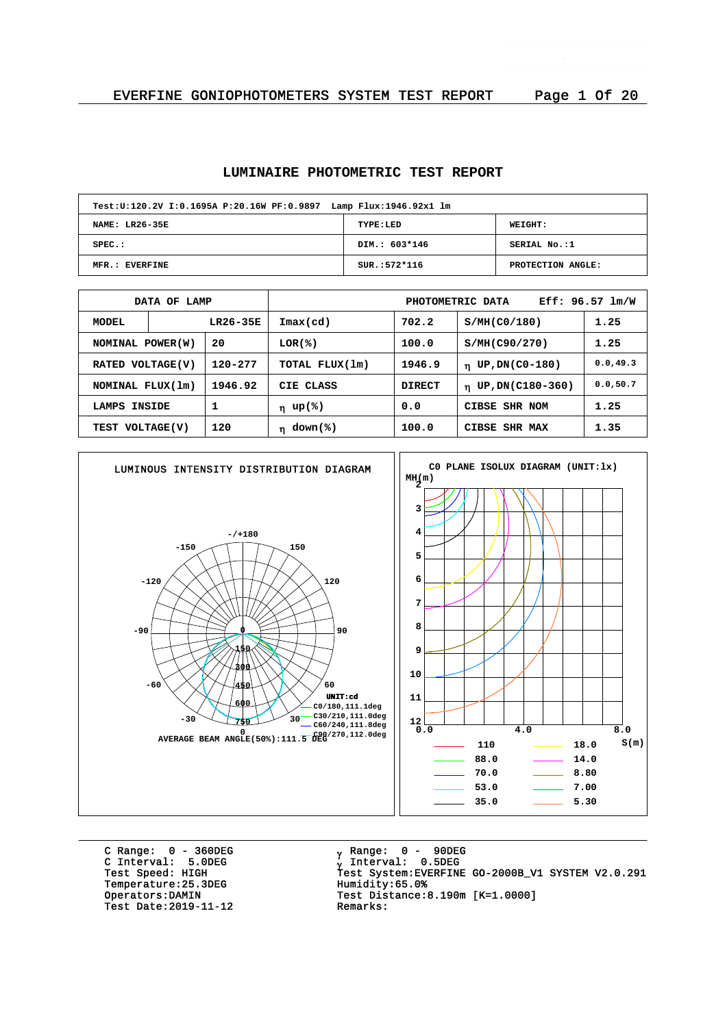# **LUMINAIRE PHOTOMETRIC TEST REPORT**

| Test: U:120.2V I:0.1695A P:20.16W PF:0.9897 Lamp Flux: 1946.92x1 lm |                |                   |  |  |  |  |  |  |  |
|---------------------------------------------------------------------|----------------|-------------------|--|--|--|--|--|--|--|
| <b>NAME: LR26-35E</b>                                               | TYPE:LED       | <b>WEIGHT:</b>    |  |  |  |  |  |  |  |
| $SPEC.$ :                                                           | DIM.: 603*146  | SERIAL No.:1      |  |  |  |  |  |  |  |
| MFR.: EVERFINE                                                      | $SUR.:572*116$ | PROTECTION ANGLE: |  |  |  |  |  |  |  |

| DATA OF LAMP                |                             |                                                  | Eff: $96.57$ $lm/W$<br>PHOTOMETRIC DATA |                               |                                 |           |  |  |
|-----------------------------|-----------------------------|--------------------------------------------------|-----------------------------------------|-------------------------------|---------------------------------|-----------|--|--|
| MODEL                       |                             | LR26-35E                                         | $\texttt{Imax}(\text{cd})$              | 702.2                         | S/MH(C0/180)                    | 1.25      |  |  |
| 20<br>NOMINAL POWER(W)      |                             | LOR(%)                                           | 100.0                                   | S/MH(C90/270)                 | 1.25                            |           |  |  |
| 120-277<br>RATED VOLTAGE(V) |                             | TOTAL FLUX(1m)                                   | 1946.9                                  | UP, DN(C0-180)<br>$\mathbf n$ | 0.0, 49.3                       |           |  |  |
|                             | 1946.92<br>NOMINAL FLUX(1m) |                                                  | CIE CLASS                               | <b>DIRECT</b>                 | UP, DN(C180-360)<br>$\mathbf n$ | 0.0, 50.7 |  |  |
| 1<br>INSIDE<br>LAMPS        |                             | 0.0<br>η up(%)                                   |                                         | CIBSE SHR NOM                 | 1.25                            |           |  |  |
| 120<br>TEST VOLTAGE(V)      |                             | 100.0<br>down(%)<br>CIBSE SHR MAX<br>$\mathbf n$ |                                         |                               | 1.35                            |           |  |  |



C Range: 0 - 360DEG C Interval: 5.0DEG Temperature: 25.3DEG<br>Operators: DAMIN Test Date: 2019-11-12

<sub>v</sub> Range: 0 – 90DEG y Range: 0 – 90DE<br><sub>V</sub> Interval: 0.5DEG University<br>Test Speed: HIGH Test System:EVERFINE GO-2000B\_V1 SYSTEM V2.0.291<br>Temperature:25.3DEG Humidity:65.0% Test Distance:8.190m [K=1.0000]<br>Remarks: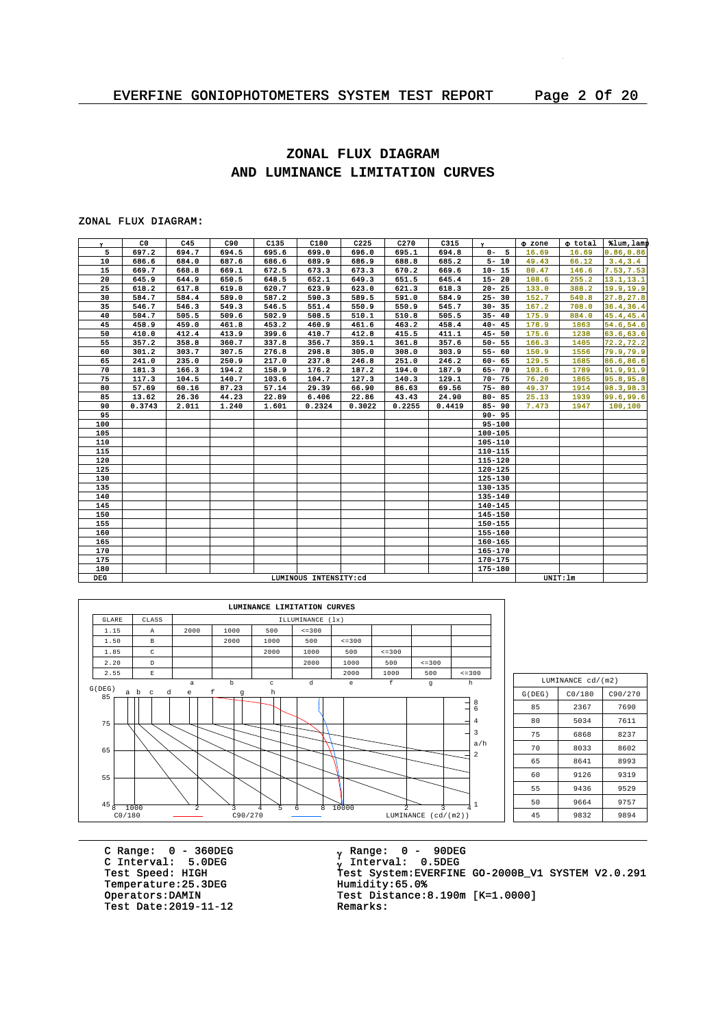# **ZONAL FLUX DIAGRAM AND LUMINANCE LIMITATION CURVES**

#### ZONAL FLUX DIAGRAM:

| $\mathbf{v}$ | C <sub>0</sub> | C45   | C90   | C135  | C180                  | C225   | C <sub>270</sub> | C315   | $\mathbf{v}$ | <b>O</b> zone | o total  | tlum, lamp |
|--------------|----------------|-------|-------|-------|-----------------------|--------|------------------|--------|--------------|---------------|----------|------------|
| 5            | 697.2          | 694.7 | 694.5 | 695.6 | 699.0                 | 696.0  | 695.1            | 694.8  | $0 - 5$      | 16.69         | 16.69    | 0.86, 0.86 |
| 10           | 686.6          | 684.0 | 687.6 | 686.6 | 689.9                 | 686.9  | 688.8            | 685.2  | $5 - 10$     | 49.43         | 66.12    | 3.4, 3.4   |
| 15           | 669.7          | 668.8 | 669.1 | 672.5 | 673.3                 | 673.3  | 670.2            | 669.6  | $10 - 15$    | 80.47         | 146.6    | 7.53, 7.53 |
| 20           | 645.9          | 644.9 | 650.5 | 648.5 | 652.1                 | 649.3  | 651.5            | 645.4  | $15 - 20$    | 108.6         | 255.2    | 13.1, 13.1 |
| 25           | 618.2          | 617.8 | 619.8 | 620.7 | 623.9                 | 623.0  | 621.3            | 618.3  | $20 - 25$    | 133.0         | 388.2    | 19.9,19.9  |
| 30           | 584.7          | 584.4 | 589.0 | 587.2 | 590.3                 | 589.5  | 591.0            | 584.9  | $25 - 30$    | 152.7         | 540.8    | 27.8, 27.8 |
| 35           | 546.7          | 546.3 | 549.3 | 546.5 | 551.4                 | 550.9  | 550.9            | 545.7  | $30 - 35$    | 167.2         | 708.0    | 36.4,36.4  |
| 40           | 504.7          | 505.5 | 509.6 | 502.9 | 508.5                 | 510.1  | 510.8            | 505.5  | $35 - 40$    | 175.9         | 884.0    | 45.4,45.4  |
| 45           | 458.9          | 459.0 | 461.8 | 453.2 | 460.9                 | 461.6  | 463.2            | 458.4  | $40 - 45$    | 178.9         | 1063     | 54.6,54.6  |
| 50           | 410.0          | 412.4 | 413.9 | 399.6 | 410.7                 | 412.8  | 415.5            | 411.1  | $45 - 50$    | 175.6         | 1238     | 63.6, 63.6 |
| 55           | 357.2          | 358.8 | 360.7 | 337.8 | 356.7                 | 359.1  | 361.8            | 357.6  | $50 - 55$    | 166.3         | 1405     | 72.2, 72.2 |
| 60           | 301.2          | 303.7 | 307.5 | 276.8 | 298.8                 | 305.0  | 308.0            | 303.9  | $55 - 60$    | 150.9         | 1556     | 79.9,79.9  |
| 65           | 241.0          | 235.0 | 250.9 | 217.0 | 237.8                 | 246.8  | 251.0            | 246.2  | $60 - 65$    | 129.5         | 1685     | 86.6,86.6  |
| 70           | 181.3          | 166.3 | 194.2 | 158.9 | 176.2                 | 187.2  | 194.0            | 187.9  | 65-70        | 103.6         | 1789     | 91.9, 91.9 |
| 75           | 117.3          | 104.5 | 140.7 | 103.6 | 104.7                 | 127.3  | 140.3            | 129.1  | $70 - 75$    | 76.20         | 1865     | 95.8,95.8  |
| 80           | 57.69          | 60.16 | 87.23 | 57.14 | 29.39                 | 66.90  | 86.63            | 69.56  | $75 - 80$    | 49.37         | 1914     | 98.3, 98.3 |
| 85           | 13.62          | 26.36 | 44.23 | 22.89 | 6.406                 | 22.86  | 43.43            | 24.90  | $80 - 85$    | 25.13         | 1939     | 99.6,99.6  |
| 90           | 0.3743         | 2.011 | 1.240 | 1.601 | 0.2324                | 0.3022 | 0.2255           | 0.4419 | $85 - 90$    | 7.473         | 1947     | 100,100    |
| 95           |                |       |       |       |                       |        |                  |        | $90 - 95$    |               |          |            |
| 100          |                |       |       |       |                       |        |                  |        | $95 - 100$   |               |          |            |
| 105          |                |       |       |       |                       |        |                  |        | 100-105      |               |          |            |
| 110          |                |       |       |       |                       |        |                  |        | 105-110      |               |          |            |
| 115          |                |       |       |       |                       |        |                  |        | 110-115      |               |          |            |
| 120          |                |       |       |       |                       |        |                  |        | 115-120      |               |          |            |
| 125          |                |       |       |       |                       |        |                  |        | $120 - 125$  |               |          |            |
| 130          |                |       |       |       |                       |        |                  |        | 125-130      |               |          |            |
| 135          |                |       |       |       |                       |        |                  |        | 130-135      |               |          |            |
| 140          |                |       |       |       |                       |        |                  |        | 135-140      |               |          |            |
| 145          |                |       |       |       |                       |        |                  |        | $140 - 145$  |               |          |            |
| 150          |                |       |       |       |                       |        |                  |        | 145-150      |               |          |            |
| 155          |                |       |       |       |                       |        |                  |        | 150-155      |               |          |            |
| 160          |                |       |       |       |                       |        |                  |        | 155-160      |               |          |            |
| 165          |                |       |       |       |                       |        |                  |        | $160 - 165$  |               |          |            |
| 170          |                |       |       |       |                       |        |                  |        | 165-170      |               |          |            |
| 175          |                |       |       |       |                       |        |                  |        | 170-175      |               |          |            |
| 180          |                |       |       |       |                       |        |                  |        | 175-180      |               |          |            |
| <b>DEG</b>   |                |       |       |       | LUMINOUS INTENSITY:cd |        |                  |        |              |               | UNIT: 1m |            |



| LUMINANCE cd/(m2) |        |         |  |  |  |  |  |  |  |
|-------------------|--------|---------|--|--|--|--|--|--|--|
| G(DEG)            | CO/180 | C90/270 |  |  |  |  |  |  |  |
| 85                | 2367   | 7690    |  |  |  |  |  |  |  |
| 80                | 5034   | 7611    |  |  |  |  |  |  |  |
| 75                | 6868   | 8237    |  |  |  |  |  |  |  |
| 70                | 8033   | 8602    |  |  |  |  |  |  |  |
| 65                | 8641   | 8993    |  |  |  |  |  |  |  |
| 60                | 9126   | 9319    |  |  |  |  |  |  |  |
| 55                | 9436   | 9529    |  |  |  |  |  |  |  |
| 50                | 9664   | 9757    |  |  |  |  |  |  |  |
| 45                | 9832   | 9894    |  |  |  |  |  |  |  |

C Range: 0 - 360DEG C Interval: 5.0DEG Temperature: 25.3DEG<br>Operators: DAMIN Test Date:  $2019-11-12$ 

<sub>v</sub> Range: 0 – 90DEG y Range: 0 – 90DE<br><sub>V</sub> Interval: 0.5DEG C INCENSITY STREET<br>Test Speed: HIGH Test System:EVERFINE GO-2000B\_V1 SYSTEM V2.0.291<br>Temperature:25.3DEG Humidity:65.0% Test Distance: 8.190m  $[K=1.0000]$ <br>Remarks: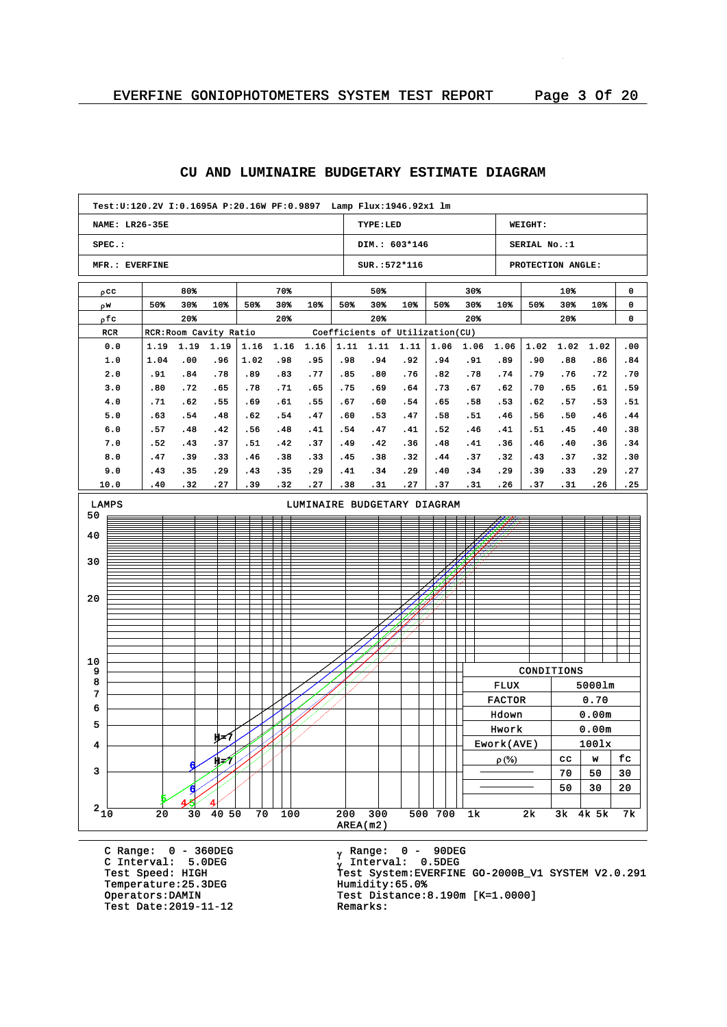#### **NAME: LR26-35E SPEC.: MFR.: EVERFINE TYPE:LED DIM.: 603\*146 SUR.:572\*116 WEIGHT: SERIAL No.:1 PROTECTION ANGLE: Test:U:120.2V I:0.1695A P:20.16W PF:0.9897 Lamp Flux:1946.92x1 lm** pcc w r pfc RCR RCR:Room Cavity Ratio Coefficients of Utilization(CU) 80% 50% 30% 10% 20% 70% 50% 30% 10% 20% 50% 50% 30% 10% 20% 30% 50% 30% 10% 20% 10% 50% 30% 10% 20% 0 0 0 0.0 1.0 2.0 3.0 4.0 5.0 6.0 7.0 8.0 9.0 10.0 1.19 1.19 1.19 1.04 .91 .80 .71 .63 .57 .52 .47 .43 .40 .00 .84 .72 .62 .54 .48 .43 .39 .35 .32 .96 .78 .65 .55 .48 .42 .37 .33 .29 .27 1.16 1.02 .89 .78 .69 .62 .56 .51 .46 .43 .39 1.16 .98 .83 .71 .61 .54 .48 .42 .38 .35 .32 1.16 .95 .77 .65 .55 .47 .41 .37 .33 .29 .27 1.11 1.11 1.11 .98 .85 .75 .67 .60 .54 .49 .45 .41 .38 .94 .80 .69 .60 .53 .47 .42 .38 .34 .31 .92 .76 .64 .54 .47 .41 .36 .32 .29 .27 1.06 .94 .82 .73 .65 .58 .52 .48 .44 .40 .37 1.06 .91 .78 .67 .58 .51 .46 .41 .37 .34 .31 1.06 .89 .74 .62 .53 .46 .41 .36 .32 .29 .26 1.02 1.02 .90 .79 .70 .62 .56 .51 .46 .43 .39 .37 .88 .76 .65 .57 .50 .45 .40 .37 .33 .31 1.02 .86 .72 .61 .53 .46 .40 .36 .32 .29 .26 .00 .84 .70 .59 .51 .44 .38 .34 .30 .27 .25 AREA(m2)  $2\frac{1}{10}$   $20$   $30$   $40$   $50$   $70$   $100$   $200$   $300$   $500$   $700$   $1k$   $2k$   $3k$   $4k$   $5k$   $7k$ 3 4 5 6 7 8 9 10 20 30 40 50 LAMPS LUMINAIRE BUDGETARY DIAGRAM 5 4 6 H=7  $\overline{4}$ 6 H=7 CONDITIONS FLUX 5000lm FACTOR 0.70 Hdown 0.00m Hwork 0.00m Ework(AVE) 100lx  $\rho$  (%)  $\vert$  cc  $\vert$  w  $\vert$  fc  $70 | 50 | 30$  $50 \mid 30 \mid 20$

#### **CU AND LUMINAIRE BUDGETARY ESTIMATE DIAGRAM**

C Range: 0 - 360DEG C Interval: 5.0DEG Temperature: 25.3DEG<br>Operators:DAMIN Test Date: 2019-11-12

<sub>v</sub> Range: 0 – 90DEG y Range: 0 – 90DE<br><sub>V</sub> Interval: 0.5DEG <sup>g</sup> Test Speed: HIGH Test System:EVERFINE GO-2000B\_V1 SYSTEM V2.0.291 Test Distance:8.190m [K=1.0000]<br>Remarks: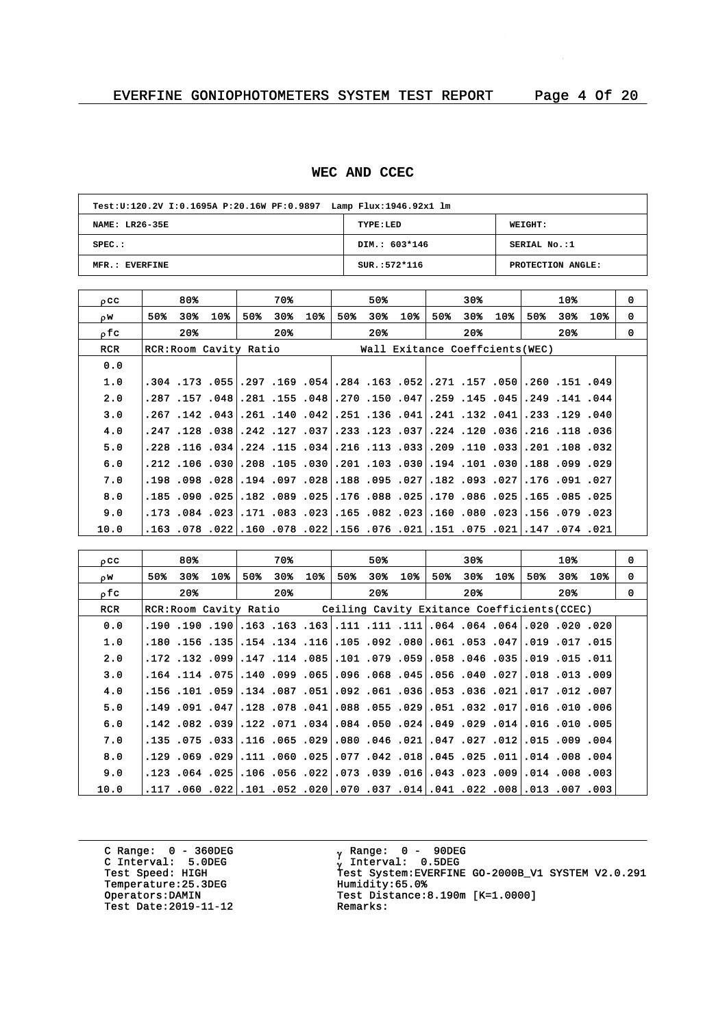# **WEC AND CCEC**

| Test: U:120.2V I:0.1695A P:20.16W PF:0.9897 Lamp Flux: 1946.92x1 lm |                |                   |  |  |  |  |  |  |  |
|---------------------------------------------------------------------|----------------|-------------------|--|--|--|--|--|--|--|
| NAME: LR26-35E                                                      | TYPE:LED       | WEIGHT:           |  |  |  |  |  |  |  |
| $SPEC.$ :                                                           | DIM.: 603*146  | SERIAL No.:1      |  |  |  |  |  |  |  |
| MFR.: EVERFINE                                                      | $SUR.:572*116$ | PROTECTION ANGLE: |  |  |  |  |  |  |  |

| $_{0}$ CC  | 80%                    | 70%                           | 50%                                                                                | 30%                             | 10%               | $\Omega$ |
|------------|------------------------|-------------------------------|------------------------------------------------------------------------------------|---------------------------------|-------------------|----------|
| OW.        | 50%<br>30%⊧<br>10%     | 30%<br>10 <sub>8</sub><br>50% | 50%<br>$30*$<br>10%                                                                | 10%<br>50%<br>30%               | 50%<br>30%<br>10% | 0        |
| ofc        | $20*$                  | 20%                           | $20*$                                                                              | $20*$                           | 20%               | $\Omega$ |
| <b>RCR</b> | RCR: Room Cavity Ratio |                               |                                                                                    | Wall Exitance Coeffcients (WEC) |                   |          |
| 0.0        |                        |                               |                                                                                    |                                 |                   |          |
| 1.0        |                        |                               | 049. 151. 260. 261. 157. 171. 261. 169. 164. 284. 164. 169. 159. 159. 173. 104.    |                                 |                   |          |
| 2.0        |                        |                               | .141. 141. 149. 145. 145. 159. 159. 160. 150. 270. 158. 155. 168. 159. 157. 287.   |                                 |                   |          |
| 3.0        |                        |                               | 40, 129. 123. 411. 132 131 140 136 151 142 140 141 142 142 147 267.                |                                 |                   |          |
| 4.0        |                        |                               | 36, 118, 126. 36, 120, 120, 234. 307, 123, 123, 37, 37, 124, 38,,038, 123,         |                                 |                   |          |
| 5.0        |                        |                               | 320. 108. 109. [33]. 110. 129. [33]. 113. 126. [34]. 115. 124. [34]. 116. 128.     |                                 |                   |          |
| 6.0        |                        |                               | .210, 099, 188, 030, 101, 194, 030, 103, 101, 030, 105, 106, 208, 030, 106, 212,   |                                 |                   |          |
| 7.0        |                        |                               | 227. 191. 176., 271. 291. 182. 182. 195. 198. 198.  298. 199. 194.  288. 198. 198. |                                 |                   |          |
| 8.0        |                        |                               | .182, 185, 165, 251, 080, 170, 251, 188, 176, 265, 269, 182, 261, 269, 190, 185,   |                                 |                   |          |
| 9.0        |                        |                               | .023, 079, 156. 023, 080, 160, 1023, 082, 165. 023. 033. 171. 023. 084. 173.       |                                 |                   |          |
| 10.0       |                        |                               | 021. 074. 147. 021. 075. 075. 021. 076. 076. 021. 022. 078. 022. 078. 053.         |                                 |                   |          |

| occ        |     | 80%   |                                                                                  |     | 70%   |     |     | 50%   |     |     | 30%   |     |     | 10% |                                                                                      | 0        |
|------------|-----|-------|----------------------------------------------------------------------------------|-----|-------|-----|-----|-------|-----|-----|-------|-----|-----|-----|--------------------------------------------------------------------------------------|----------|
| OW.        | 50% | 30%   | 10%                                                                              | 50% | 30%   | 10% | 50% | 30%   | 10% | 50% | 30%   | 10% | 50% | 30% | 10%                                                                                  | 0        |
| ofc        |     | $20*$ |                                                                                  |     | $20*$ |     |     | $20*$ |     |     | $20*$ |     |     | 20% |                                                                                      | $\Omega$ |
| <b>RCR</b> |     |       | RCR: Room Cavity Ratio Ceiling Cavity Exitance Coefficients (CCEC)               |     |       |     |     |       |     |     |       |     |     |     |                                                                                      |          |
| 0.0        |     |       |                                                                                  |     |       |     |     |       |     |     |       |     |     |     | 020, 200, 200, 201, 204, 204, 204, 111, 111, 111, 163, 163, 163, 190, 190, 190, 190, |          |
| 1.0        |     |       |                                                                                  |     |       |     |     |       |     |     |       |     |     |     | .150. 17. 019. 047. 053. 051. 061. 092. 051. 105. 154. 154. 155. 155. 017. 019.      |          |
| 2.0        |     |       | 011. 15. 159. 015. 046. 046. 059. 059. 079. 051. 141. 147. 099. 132. 172.        |     |       |     |     |       |     |     |       |     |     |     |                                                                                      |          |
| 3.0        |     |       |                                                                                  |     |       |     |     |       |     |     |       |     |     |     | .009. 13. 013. 027. 040. 045. 056. 045. 065. 096. 056. 099. 011. 075. 114. 164.      |          |
| 4.0        |     |       | ,007, 102, 107, 201, 203, 053, 053, 061, 092, 051, 059, 054, 059, 101, 156, 156, |     |       |     |     |       |     |     |       |     |     |     |                                                                                      |          |
| 5.0        |     |       |                                                                                  |     |       |     |     |       |     |     |       |     |     |     | .006. 010. 016. 710. 032. 051. 051. 055. 088. 041. 041. 032. 047. 091. 049. 149.     |          |
| 6.0        |     |       | .1016.010.015. 021.029.024.049.024.050.024.054.082.142.082.039.142.              |     |       |     |     |       |     |     |       |     |     |     |                                                                                      |          |
| 7.0        |     |       |                                                                                  |     |       |     |     |       |     |     |       |     |     |     | .004. 009. 115.  112. 207. 047. 041. 046. 080.  249. 165. 166. 167. 175. 175. 115.   |          |
| 8.0        |     |       | .004. 008. 011.014. 025. 018. 018. 042. 077. 025. 050. 011. 050. 029. 050. 029.  |     |       |     |     |       |     |     |       |     |     |     |                                                                                      |          |
| 9.0        |     |       | .003, 008, 014. 009, 023, 0.43. 016, 039, 0.73. 0.73. 054. 025. 064. 025. 023.   |     |       |     |     |       |     |     |       |     |     |     |                                                                                      |          |
| 10.0       |     |       | .003, 007, 013.  108. 220. 104.  104. 037. 070.  200. 102. 101.  222. 060. 117.  |     |       |     |     |       |     |     |       |     |     |     |                                                                                      |          |

C Range: 0 - 360DEG C Interval: 5.0DEG Temperature: 25.3DEG<br>Operators:DAMIN Test Date:  $2019-11-12$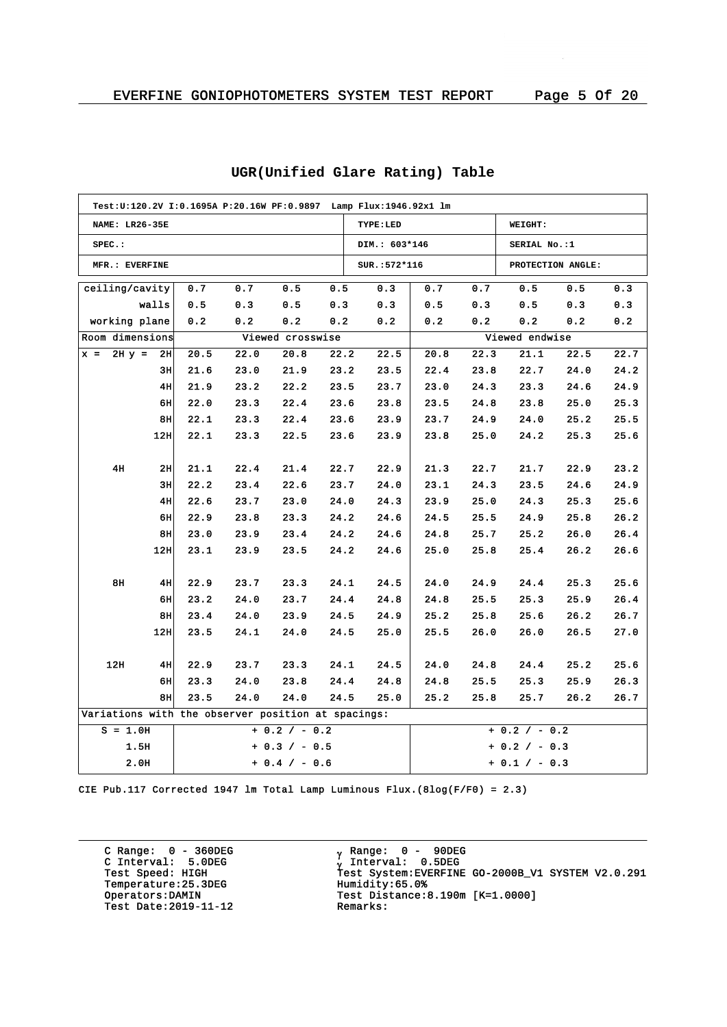| Test:U:120.2V I:0.1695A P:20.16W PF:0.9897 Lamp Flux:1946.92x1 lm |                 |      |      |                  |      |               |                 |      |                 |                   |      |
|-------------------------------------------------------------------|-----------------|------|------|------------------|------|---------------|-----------------|------|-----------------|-------------------|------|
| <b>NAME: LR26-35E</b>                                             |                 |      |      |                  |      | TYPE:LED      |                 |      | WEIGHT:         |                   |      |
| $SPEC.$ :                                                         |                 |      |      |                  |      | DIM.: 603*146 | SERIAL No.:1    |      |                 |                   |      |
| MFR.: EVERFINE                                                    |                 |      |      |                  |      | SUR.: 572*116 |                 |      |                 | PROTECTION ANGLE: |      |
| ceiling/cavity                                                    |                 | 0.7  | 0.7  | 0.5              | 0.5  | 0.3           | 0.7             | 0.7  | 0.5             | 0.5               | 0.3  |
|                                                                   | walls           | 0.5  | 0.3  | 0.5              | 0.3  | 0.3           | 0.5             | 0.3  | 0.5             | 0.3               | 0.3  |
| working plane                                                     |                 | 0.2  | 0.2  | 0.2              | 0.2  | 0.2           | 0.2             | 0.2  | 0.2             | 0.2               | 0.2  |
| Room dimensions                                                   |                 |      |      | Viewed crosswise |      |               |                 |      | Viewed endwise  |                   |      |
| $x = 2Hy =$                                                       | 2H              | 20.5 | 22.0 | 20.8             | 22.2 | 22.5          | 20.8            | 22.3 | 21.1            | 22.5              | 22.7 |
|                                                                   | 3H              | 21.6 | 23.0 | 21.9             | 23.2 | 23.5          | 22.4            | 23.8 | 22.7            | 24.0              | 24.2 |
|                                                                   | 4H              | 21.9 | 23.2 | 22.2             | 23.5 | 23.7          | 23.0            | 24.3 | 23.3            | 24.6              | 24.9 |
|                                                                   | 6H              | 22.0 | 23.3 | 22.4             | 23.6 | 23.8          | 23.5            | 24.8 | 23.8            | 25.0              | 25.3 |
|                                                                   | 8H              | 22.1 | 23.3 | 22.4             | 23.6 | 23.9          | 23.7            | 24.9 | 24.0            | 25.2              | 25.5 |
|                                                                   | 12H             | 22.1 | 23.3 | 22.5             | 23.6 | 23.9          | 23.8            | 25.0 | 24.2            | 25.3              | 25.6 |
|                                                                   |                 |      |      |                  |      |               |                 |      |                 |                   |      |
| 4H                                                                | 2H              | 21.1 | 22.4 | 21.4             | 22.7 | 22.9          | 21.3            | 22.7 | 21.7            | 22.9              | 23.2 |
|                                                                   | 3H              | 22.2 | 23.4 | 22.6             | 23.7 | 24.0          | 23.1            | 24.3 | 23.5            | 24.6              | 24.9 |
|                                                                   | 4H              | 22.6 | 23.7 | 23.0             | 24.0 | 24.3          | 23.9            | 25.0 | 24.3            | 25.3              | 25.6 |
|                                                                   | 6H              | 22.9 | 23.8 | 23.3             | 24.2 | 24.6          | 24.5            | 25.5 | 24.9            | 25.8              | 26.2 |
|                                                                   | 8H              | 23.0 | 23.9 | 23.4             | 24.2 | 24.6          | 24.8            | 25.7 | 25.2            | 26.0              | 26.4 |
|                                                                   | 12 <sub>H</sub> | 23.1 | 23.9 | 23.5             | 24.2 | 24.6          | 25.0            | 25.8 | 25.4            | 26.2              | 26.6 |
|                                                                   |                 |      |      |                  |      |               |                 |      |                 |                   |      |
| 8H                                                                | 4H              | 22.9 | 23.7 | 23.3             | 24.1 | 24.5          | 24.0            | 24.9 | 24.4            | 25.3              | 25.6 |
|                                                                   | 6H              | 23.2 | 24.0 | 23.7             | 24.4 | 24.8          | 24.8            | 25.5 | 25.3            | 25.9              | 26.4 |
|                                                                   | 8H              | 23.4 | 24.0 | 23.9             | 24.5 | 24.9          | 25.2            | 25.8 | 25.6            | 26.2              | 26.7 |
|                                                                   | 12 <sub>H</sub> | 23.5 | 24.1 | 24.0             | 24.5 | 25.0          | 25.5            | 26.0 | 26.0            | 26.5              | 27.0 |
|                                                                   |                 |      |      |                  |      |               |                 |      |                 |                   |      |
| 12H                                                               | 4H              | 22.9 | 23.7 | 23.3             | 24.1 | 24.5          | 24.0            | 24.8 | 24.4            | 25.2              | 25.6 |
|                                                                   | 6H              | 23.3 | 24.0 | 23.8             | 24.4 | 24.8          | 24.8            | 25.5 | 25.3            | 25.9              | 26.3 |
|                                                                   | 8 <sub>H</sub>  | 23.5 | 24.0 | 24.0             | 24.5 | 25.0          | 25.2            | 25.8 | 25.7            | 26.2              | 26.7 |
| Variations with the observer position at spacings:                |                 |      |      |                  |      |               |                 |      |                 |                   |      |
| $S = 1.0H$                                                        |                 |      |      | $+ 0.2 / - 0.2$  |      |               |                 |      | $+ 0.2 / - 0.2$ |                   |      |
| 1.5H                                                              |                 |      |      | $+ 0.3 / - 0.5$  |      |               |                 |      | $+ 0.2 / - 0.3$ |                   |      |
| 2.0H                                                              |                 |      |      | $+ 0.4 / - 0.6$  |      |               | $+ 0.1 / - 0.3$ |      |                 |                   |      |

# **UGR(Unified Glare Rating) Table**

CIE Pub.117 Corrected 1947 lm Total Lamp Luminous Flux.(8log(F/F0) = 2.3)

C Range: 0 - 360DEG C Interval: 5.0DEG Temperature:25.3DEG<br>Operators:DAMIN Test Date:  $2019-11-12$ 

<sub>v</sub> Range: 0 – 90DEG y Range: 0 – 90DE<br><sub>V</sub> Interval: 0.5DEG G INCERVAL: 3.0220<br>Test Speed: HIGH Test System:EVERFINE GO-2000B\_V1 SYSTEM V2.0.291<br>Temperature:25.3DEG Humidity:65.0% Test Distance:8.190m [K=1.0000]<br>Remarks: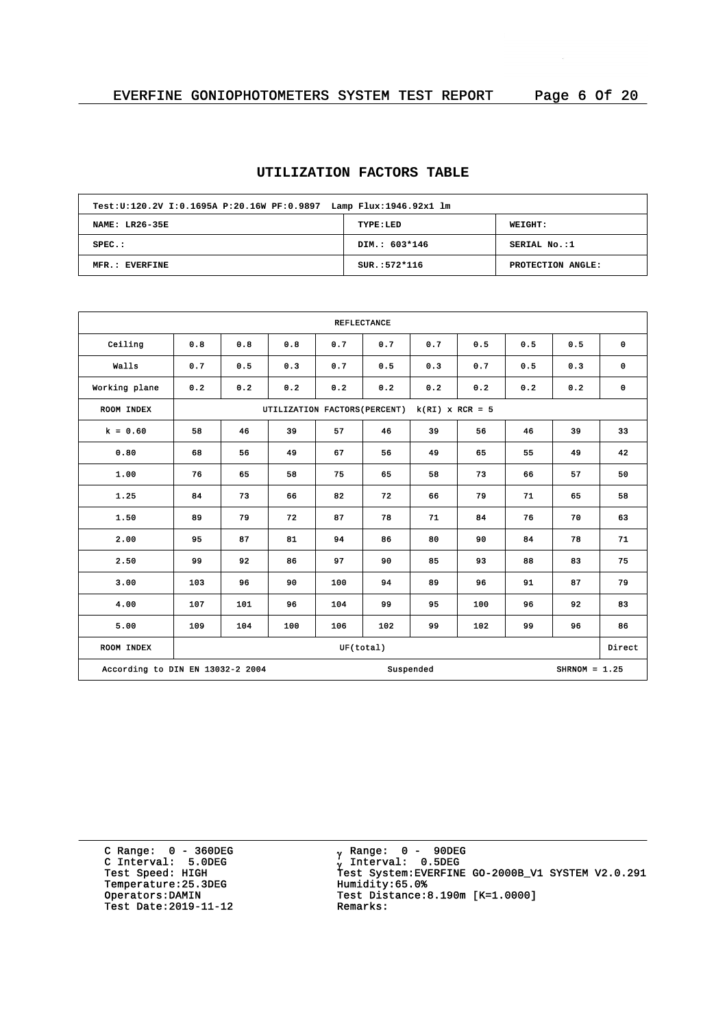# **UTILIZATION FACTORS TABLE**

| Test: U:120.2V I:0.1695A P:20.16W PF:0.9897 Lamp Flux: 1946.92x1 lm |                |                   |  |  |  |  |  |  |  |
|---------------------------------------------------------------------|----------------|-------------------|--|--|--|--|--|--|--|
| NAME: LR26-35E                                                      | TYPE:LED       | WEIGHT:           |  |  |  |  |  |  |  |
| $SPEC.$ :                                                           | DIM.: 603*146  | SERIAL No.:1      |  |  |  |  |  |  |  |
| MFR.: EVERFINE                                                      | $SUR.:572*116$ | PROTECTION ANGLE: |  |  |  |  |  |  |  |

| <b>REFLECTANCE</b>                                               |                                                    |     |     |     |     |     |     |     |        |             |
|------------------------------------------------------------------|----------------------------------------------------|-----|-----|-----|-----|-----|-----|-----|--------|-------------|
| Ceiling                                                          | 0.8                                                | 0.8 | 0.8 | 0.7 | 0.7 | 0.7 | 0.5 | 0.5 | 0.5    | $\mathbf 0$ |
| Walls                                                            | 0.7                                                | 0.5 | 0.3 | 0.7 | 0.5 | 0.3 | 0.7 | 0.5 | 0.3    | $\mathbf 0$ |
| Working plane                                                    | 0.2                                                | 0.2 | 0.2 | 0.2 | 0.2 | 0.2 | 0.2 | 0.2 | 0.2    | $\mathbf 0$ |
| ROOM INDEX                                                       | $k(RI)$ x RCR = 5<br>UTILIZATION FACTORS (PERCENT) |     |     |     |     |     |     |     |        |             |
| $k = 0.60$                                                       | 58                                                 | 46  | 39  | 57  | 46  | 39  | 56  | 46  | 39     | 33          |
| 0.80                                                             | 68                                                 | 56  | 49  | 67  | 56  | 49  | 65  | 55  | 49     | 42          |
| 1.00                                                             | 76                                                 | 65  | 58  | 75  | 65  | 58  | 73  | 66  | 57     | 50          |
| 1.25                                                             | 84                                                 | 73  | 66  | 82  | 72  | 66  | 79  | 71  | 65     | 58          |
| 1.50                                                             | 89                                                 | 79  | 72  | 87  | 78  | 71  | 84  | 76  | 70     | 63          |
| 2.00                                                             | 95                                                 | 87  | 81  | 94  | 86  | 80  | 90  | 84  | 78     | 71          |
| 2.50                                                             | 99                                                 | 92  | 86  | 97  | 90  | 85  | 93  | 88  | 83     | 75          |
| 3.00                                                             | 103                                                | 96  | 90  | 100 | 94  | 89  | 96  | 91  | 87     | 79          |
| 4.00                                                             | 107                                                | 101 | 96  | 104 | 99  | 95  | 100 | 96  | 92     | 83          |
| 5.00                                                             | 109                                                | 104 | 100 | 106 | 102 | 99  | 102 | 99  | 96     | 86          |
| ROOM INDEX<br>UF(total)                                          |                                                    |     |     |     |     |     |     |     | Direct |             |
| According to DIN EN 13032-2 2004<br>Suspended<br>$SHRNOM = 1.25$ |                                                    |     |     |     |     |     |     |     |        |             |

C Range: 0 - 360DEG C Interval: 5.0DEG Temperature: 25.3DEG<br>Operators:DAMIN Test Date:  $2019-11-12$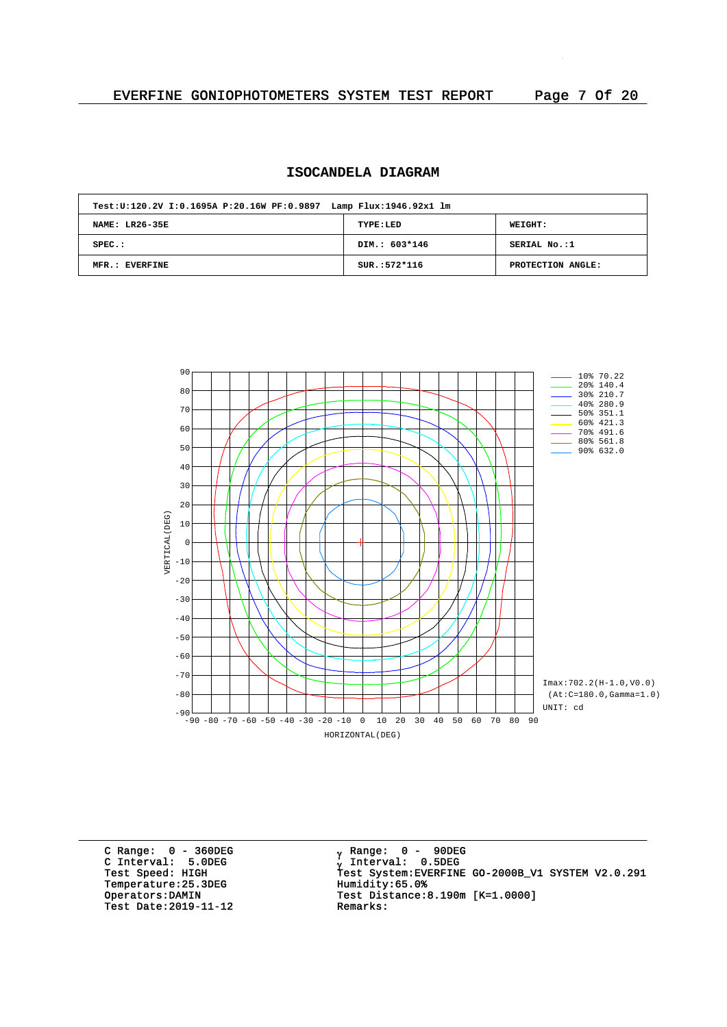# **ISOCANDELA DIAGRAM**

| Test: U:120.2V I:0.1695A P:20.16W PF:0.9897 Lamp Flux: 1946.92x1 lm |                |                   |  |  |  |  |  |  |  |
|---------------------------------------------------------------------|----------------|-------------------|--|--|--|--|--|--|--|
| <b>NAME: LR26-35E</b>                                               | TYPE:LED       | WEIGHT:           |  |  |  |  |  |  |  |
| $SPEC.$ :                                                           | DIM.: 603*146  | SERIAL No.:1      |  |  |  |  |  |  |  |
| MFR.: EVERFINE                                                      | $SUR.:572*116$ | PROTECTION ANGLE: |  |  |  |  |  |  |  |



C Range: 0 - 360DEG C Interval: 5.0DEG Temperature: 25.3DEG<br>Operators: DAMIN Test Date:  $2019-11-12$ 

<sub>v</sub> Range: 0 – 90DEG y Range: 0 – 90DE<br><sub>V</sub> Interval: 0.5DEG G INCERTION: 3.0220<br>Test Speed: HIGH Test System:EVERFINE GO-2000B\_V1 SYSTEM V2.0.291<br>Temperature:25.3DEG Humidity:65.0% Test Distance:8.190m [K=1.0000]<br>Remarks: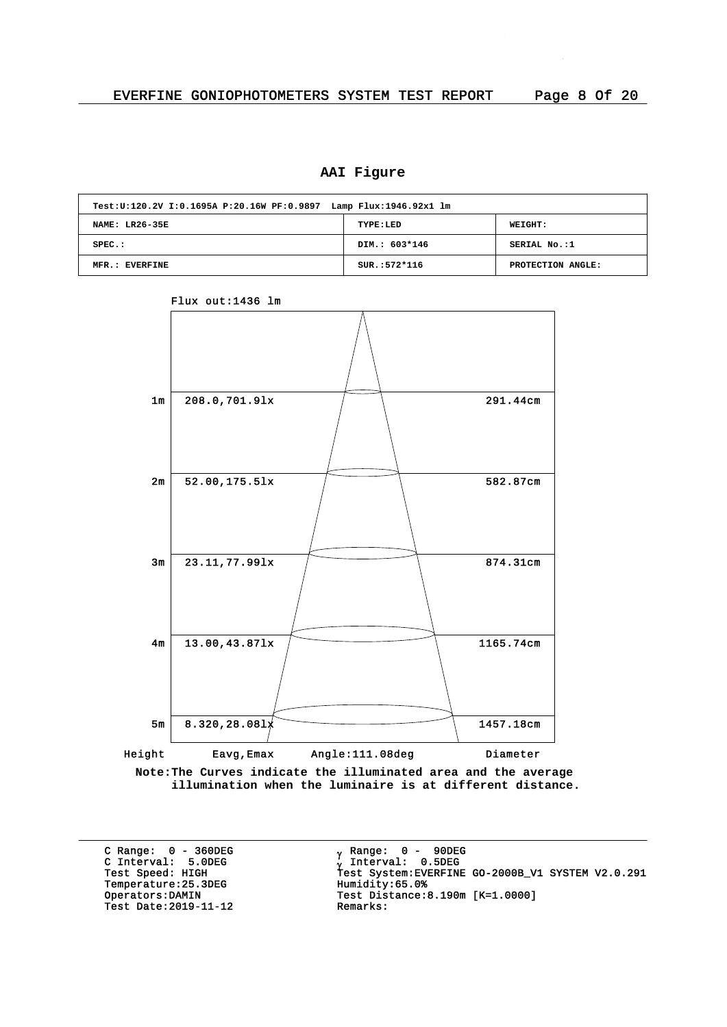# **AAI Figure**

| Test:U:120.2V I:0.1695A P:20.16W PF:0.9897 Lamp Flux:1946.92x1 lm |                |                   |  |  |  |  |  |  |  |
|-------------------------------------------------------------------|----------------|-------------------|--|--|--|--|--|--|--|
| NAME: LR26-35E                                                    | TYPE:LED       | <b>WEIGHT:</b>    |  |  |  |  |  |  |  |
| $SPEC.$ :                                                         | DIM.: 603*146  | SERIAL No.:1      |  |  |  |  |  |  |  |
| MFR.: EVERFINE                                                    | $SUR.:572*116$ | PROTECTION ANGLE: |  |  |  |  |  |  |  |



#### Flux out:1436 lm

**Note:The Curves indicate the illuminated area and the average illumination when the luminaire is at different distance.**

C Range: 0 - 360DEG C Interval: 5.0DEG Temperature: 25.3DEG<br>Operators: DAMIN Test Date: 2019-11-12

<sub>v</sub> Range: 0 – 90DEG y Range: 0 – 90DE<br><sub>V</sub> Interval: 0.5DEG G INCERVITE STREET<br>Test Speed: HIGH Test System:EVERFINE GO-2000B\_V1 SYSTEM V2.0.291<br>Temperature:25.3DEG Humidity:65.0% Test Distance:8.190m [K=1.0000]<br>Remarks: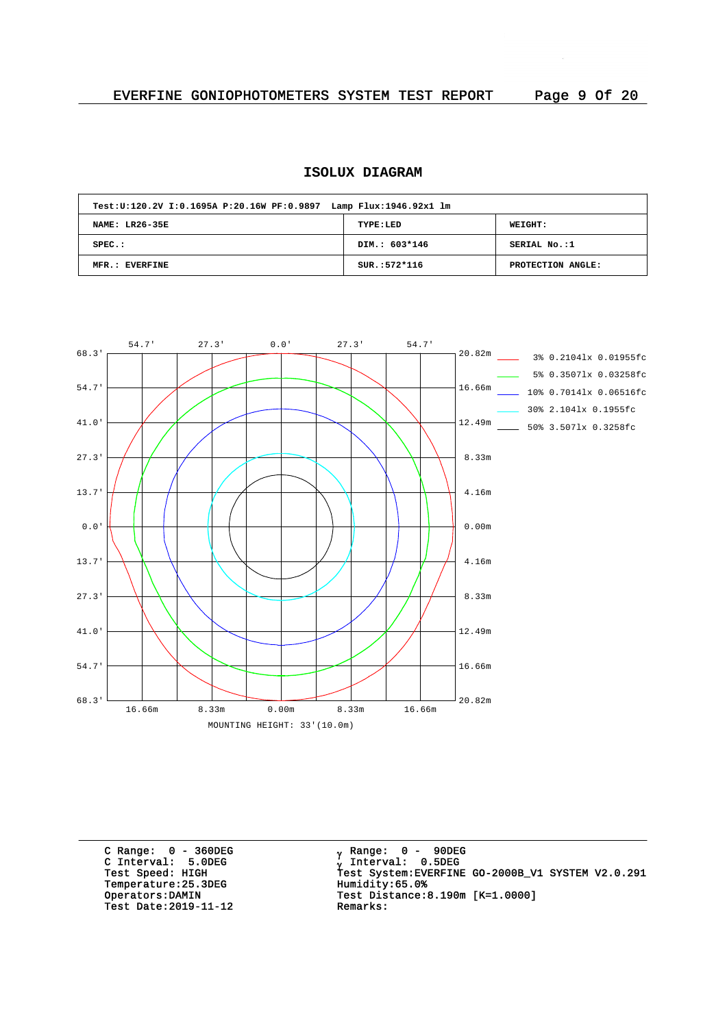# **ISOLUX DIAGRAM**

| Test: U:120.2V I: 0.1695A P: 20.16W PF: 0.9897 Lamp Flux: 1946.92x1 lm |                |                   |
|------------------------------------------------------------------------|----------------|-------------------|
| NAME: LR26-35E                                                         | TYPE:LED       | WEIGHT:           |
| $SPEC.$ :                                                              | DIM.: 603*146  | SERIAL No.:1      |
| MFR.: EVERFINE                                                         | $SUR.:572*116$ | PROTECTION ANGLE: |



C Range: 0 - 360DEG C Interval: 5.0DEG Temperature: 25.3DEG<br>Operators: DAMIN Test Date:  $2019-11-12$ 

<sub>v</sub> Range: 0 – 90DEG y Range: 0 – 90DE<br><sub>V</sub> Interval: 0.5DEG G INCENSIVE SIGNS<br>Test Speed: HIGH Test System:EVERFINE GO-2000B\_V1 SYSTEM V2.0.291<br>Temperature:25.3DEG Humidity:65.0% Test Distance: 8.190m  $[K=1.0000]$ <br>Remarks: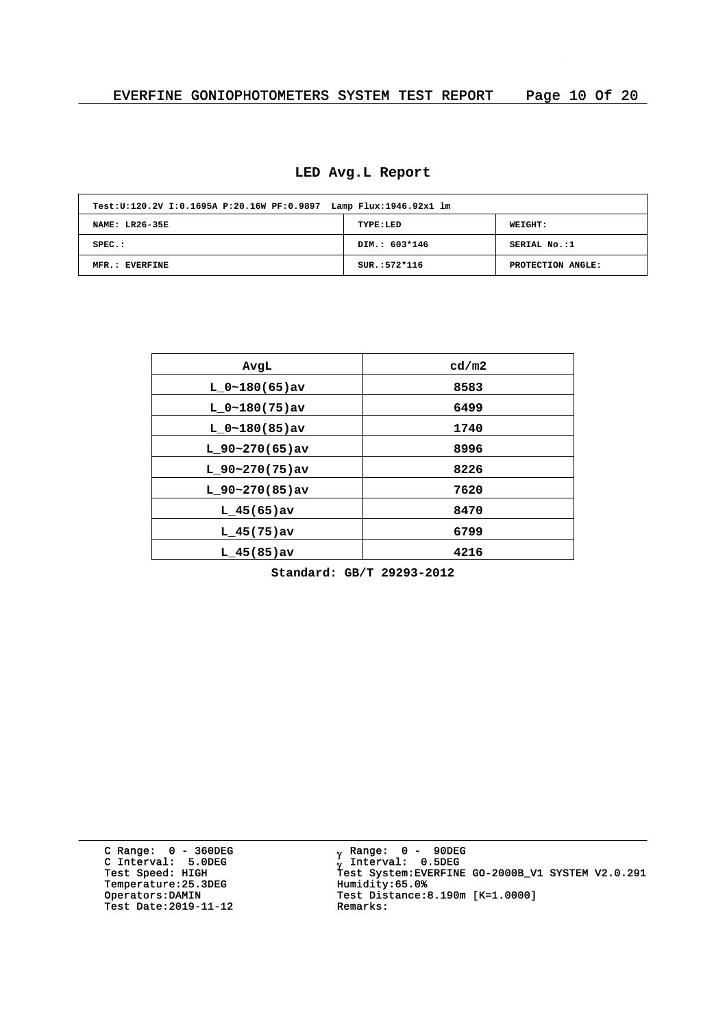# **LED Avg.L Report**

| Test: U:120.2V I:0.1695A P:20.16W PF:0.9897 Lamp Flux: 1946.92x1 lm |                |                   |
|---------------------------------------------------------------------|----------------|-------------------|
| <b>NAME: LR26-35E</b>                                               | TYPE:LED       | WEIGHT:           |
| $SPEC.$ :                                                           | DIM.: 603*146  | SERIAL No.:1      |
| MFR.: EVERFINE                                                      | $SUR.:572*116$ | PROTECTION ANGLE: |

| AvgL              | cd/m2 |
|-------------------|-------|
| $L_0~180(65)$ av  | 8583  |
| $L 0~180(75)$ av  | 6499  |
| $L 0~180(85)$ av  | 1740  |
| $L$ 90~270(65)av  | 8996  |
| L $90-270(75)$ av | 8226  |
| $L$ 90~270(85)av  | 7620  |
| $L$ 45(65) av     | 8470  |
| $L$ 45(75) av     | 6799  |
| $L$ 45(85) av     | 4216  |

**Standard: GB/T 29293-2012**

C Range: 0 - 360DEG C Interval: 5.0DEG Temperature: 25.3DEG<br>Operators:DAMIN Test Date:  $2019-11-12$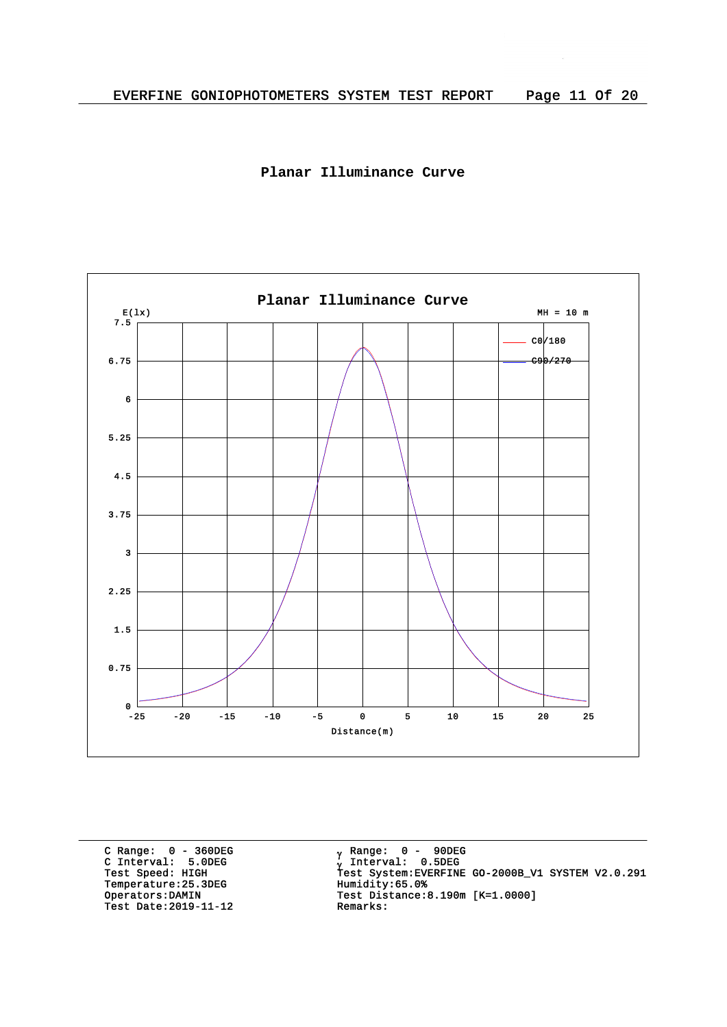



C Range: 0 - 360DEG C Interval: 5.0DEG Temperature: 25.3DEG<br>Operators: DAMIN Test Date:  $2019-11-12$ 

<sub>v</sub> Range: 0 – 90DEG y Range: 0 – 90DE<br><sub>V</sub> Interval: 0.5DEG G INCEIVAL: 3.0220<br>Test Speed: HIGH Test System:EVERFINE GO-2000B\_V1 SYSTEM V2.0.291<br>Temperature:25.3DEG Humidity:65.0% Test Distance:8.190m [K=1.0000]<br>Remarks: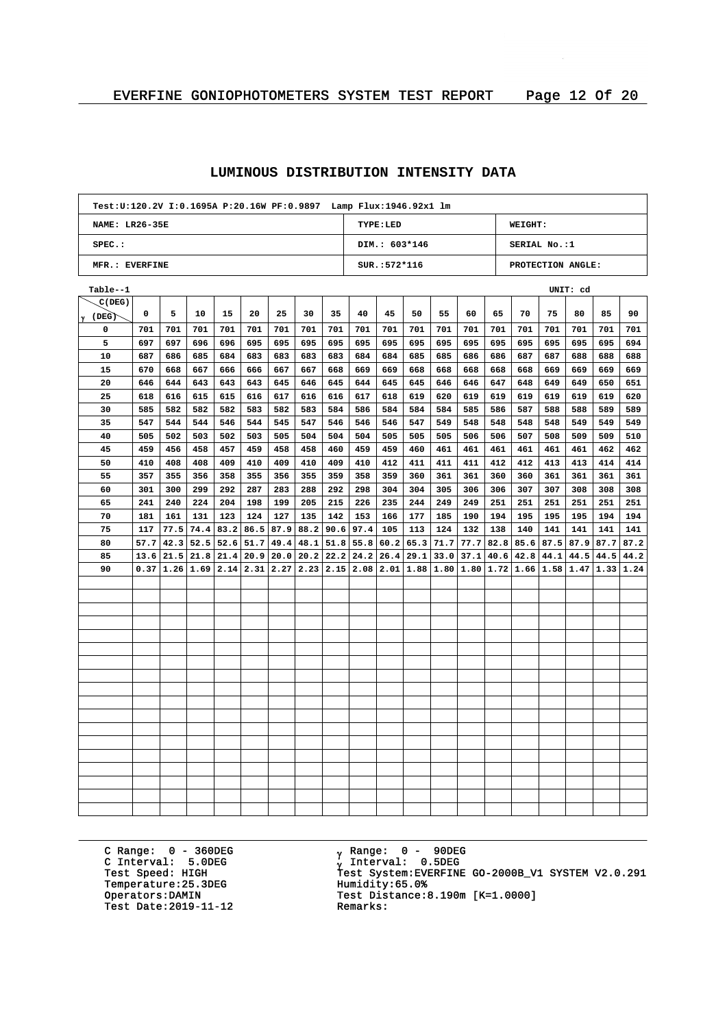| Test:U:120.2V I:0.1695A P:20.16W PF:0.9897    Lamp Flux:1946.92x1    lm |                                              |      |      |      |      |      |                          |                  |      |                 |      |                                                                                                  |      |      |     |                      |                   |      |      |
|-------------------------------------------------------------------------|----------------------------------------------|------|------|------|------|------|--------------------------|------------------|------|-----------------|------|--------------------------------------------------------------------------------------------------|------|------|-----|----------------------|-------------------|------|------|
|                                                                         | <b>NAME: LR26-35E</b><br>TYPE:LED<br>WEIGHT: |      |      |      |      |      |                          |                  |      |                 |      |                                                                                                  |      |      |     |                      |                   |      |      |
| $SPEC.$ :<br>DIM.: 603*146<br>SERIAL No.:1                              |                                              |      |      |      |      |      |                          |                  |      |                 |      |                                                                                                  |      |      |     |                      |                   |      |      |
| MFR.: EVERFINE                                                          |                                              |      |      |      |      |      |                          |                  |      | $SUR.: 572*116$ |      |                                                                                                  |      |      |     |                      | PROTECTION ANGLE: |      |      |
| Table--1                                                                |                                              |      |      |      |      |      |                          |                  |      |                 |      |                                                                                                  |      |      |     |                      | UNIT: cd          |      |      |
| C(DEG)                                                                  |                                              |      |      |      |      |      |                          |                  |      |                 |      |                                                                                                  |      |      |     |                      |                   |      |      |
| $\gamma$ (DEG)                                                          | 0                                            | 5    | 10   | 15   | 20   | 25   | 30                       | 35               | 40   | 45              | 50   | 55                                                                                               | 60   | 65   | 70  | 75                   | 80                | 85   | 90   |
| 0                                                                       | 701                                          | 701  | 701  | 701  | 701  | 701  | 701                      | 701              | 701  | 701             | 701  | 701                                                                                              | 701  | 701  | 701 | 701                  | 701               | 701  | 701  |
| 5                                                                       | 697                                          | 697  | 696  | 696  | 695  | 695  | 695                      | 695              | 695  | 695             | 695  | 695                                                                                              | 695  | 695  | 695 | 695                  | 695               | 695  | 694  |
| 10                                                                      | 687                                          | 686  | 685  | 684  | 683  | 683  | 683                      | 683              | 684  | 684             | 685  | 685                                                                                              | 686  | 686  | 687 | 687                  | 688               | 688  | 688  |
| 15                                                                      | 670                                          | 668  | 667  | 666  | 666  | 667  | 667                      | 668              | 669  | 669             | 668  | 668                                                                                              | 668  | 668  | 668 | 669                  | 669               | 669  | 669  |
| 20                                                                      | 646                                          | 644  | 643  | 643  | 643  | 645  | 646                      | 645              | 644  | 645             | 645  | 646                                                                                              | 646  | 647  | 648 | 649                  | 649               | 650  | 651  |
| 25                                                                      | 618                                          | 616  | 615  | 615  | 616  | 617  | 616                      | 616              | 617  | 618             | 619  | 620                                                                                              | 619  | 619  | 619 | 619                  | 619               | 619  | 620  |
| 30                                                                      | 585                                          | 582  | 582  | 582  | 583  | 582  | 583                      | 584              | 586  | 584             | 584  | 584                                                                                              | 585  | 586  | 587 | 588                  | 588               | 589  | 589  |
| 35                                                                      | 547                                          | 544  | 544  | 546  | 544  | 545  | 547                      | 546              | 546  | 546             | 547  | 549                                                                                              | 548  | 548  | 548 | 548                  | 549               | 549  | 549  |
| 40                                                                      | 505                                          | 502  | 503  | 502  | 503  | 505  | 504                      | 504              | 504  | 505             | 505  | 505                                                                                              | 506  | 506  | 507 | 508                  | 509               | 509  | 510  |
| 45                                                                      | 459                                          | 456  | 458  | 457  | 459  | 458  | 458                      | 460              | 459  | 459             | 460  | 461                                                                                              | 461  | 461  | 461 | 461                  | 461               | 462  | 462  |
| 50                                                                      | 410                                          | 408  | 408  | 409  | 410  | 409  | 410                      | 409              | 410  | 412             | 411  | 411                                                                                              | 411  | 412  | 412 | 413                  | 413               | 414  | 414  |
| 55                                                                      | 357                                          | 355  | 356  | 358  | 355  | 356  | 355                      | 359              | 358  | 359             | 360  | 361                                                                                              | 361  | 360  | 360 | 361                  | 361               | 361  | 361  |
| 60                                                                      | 301                                          | 300  | 299  | 292  | 287  | 283  | 288                      | 292              | 298  | 304             | 304  | 305                                                                                              | 306  | 306  | 307 | 307                  | 308               | 308  | 308  |
| 65                                                                      | 241                                          | 240  | 224  | 204  | 198  | 199  | 205                      | 215              | 226  | 235             | 244  | 249                                                                                              | 249  | 251  | 251 | 251                  | 251               | 251  | 251  |
| 70                                                                      | 181                                          | 161  | 131  | 123  | 124  | 127  | 135                      | 142              | 153  | 166             | 177  | 185                                                                                              | 190  | 194  | 195 | 195                  | 195               | 194  | 194  |
| 75                                                                      | 117                                          | 77.5 | 74.4 | 83.2 | 86.5 |      | $87.9$ 88.2 90.6         |                  | 97.4 | 105             | 113  | 124                                                                                              | 132  | 138  | 140 | 141                  | 141               | 141  | 141  |
| 80                                                                      | 57.7                                         | 42.3 | 52.5 | 52.6 | 51.7 | 49.4 |                          | $48.1$ 51.8 55.8 |      | 60.2            | 65.3 | 71.7                                                                                             | 77.7 | 82.8 |     | $85.6$ $87.5$ $87.9$ |                   | 87.7 | 87.2 |
| 85                                                                      | 13.6                                         | 21.5 | 21.8 | 21.4 | 20.9 |      | $20.0$   $20.2$   $22.2$ |                  | 24.2 | 26.4            | 29.1 | 33.0                                                                                             | 37.1 |      |     | 40.6   42.8   44.1   | 44.5              | 44.5 | 44.2 |
| 90                                                                      |                                              |      |      |      |      |      |                          |                  |      |                 |      | $0.37 1.26 1.69 2.14 2.31 2.27 2.23 2.15 2.08 2.01 1.88 1.80 1.80 1.72 1.66 1.58 1.47 1.33 1.24$ |      |      |     |                      |                   |      |      |
|                                                                         |                                              |      |      |      |      |      |                          |                  |      |                 |      |                                                                                                  |      |      |     |                      |                   |      |      |
|                                                                         |                                              |      |      |      |      |      |                          |                  |      |                 |      |                                                                                                  |      |      |     |                      |                   |      |      |
|                                                                         |                                              |      |      |      |      |      |                          |                  |      |                 |      |                                                                                                  |      |      |     |                      |                   |      |      |
|                                                                         |                                              |      |      |      |      |      |                          |                  |      |                 |      |                                                                                                  |      |      |     |                      |                   |      |      |
|                                                                         |                                              |      |      |      |      |      |                          |                  |      |                 |      |                                                                                                  |      |      |     |                      |                   |      |      |
|                                                                         |                                              |      |      |      |      |      |                          |                  |      |                 |      |                                                                                                  |      |      |     |                      |                   |      |      |
|                                                                         |                                              |      |      |      |      |      |                          |                  |      |                 |      |                                                                                                  |      |      |     |                      |                   |      |      |
|                                                                         |                                              |      |      |      |      |      |                          |                  |      |                 |      |                                                                                                  |      |      |     |                      |                   |      |      |
|                                                                         |                                              |      |      |      |      |      |                          |                  |      |                 |      |                                                                                                  |      |      |     |                      |                   |      |      |
|                                                                         |                                              |      |      |      |      |      |                          |                  |      |                 |      |                                                                                                  |      |      |     |                      |                   |      |      |
|                                                                         |                                              |      |      |      |      |      |                          |                  |      |                 |      |                                                                                                  |      |      |     |                      |                   |      |      |
|                                                                         |                                              |      |      |      |      |      |                          |                  |      |                 |      |                                                                                                  |      |      |     |                      |                   |      |      |
|                                                                         |                                              |      |      |      |      |      |                          |                  |      |                 |      |                                                                                                  |      |      |     |                      |                   |      |      |
|                                                                         |                                              |      |      |      |      |      |                          |                  |      |                 |      |                                                                                                  |      |      |     |                      |                   |      |      |
|                                                                         |                                              |      |      |      |      |      |                          |                  |      |                 |      |                                                                                                  |      |      |     |                      |                   |      |      |
|                                                                         |                                              |      |      |      |      |      |                          |                  |      |                 |      |                                                                                                  |      |      |     |                      |                   |      |      |
|                                                                         |                                              |      |      |      |      |      |                          |                  |      |                 |      |                                                                                                  |      |      |     |                      |                   |      |      |
|                                                                         |                                              |      |      |      |      |      |                          |                  |      |                 |      |                                                                                                  |      |      |     |                      |                   |      |      |

C Range: 0 - 360DEG C Interval: 5.0DEG Temperature: 25.3DEG<br>Operators: DAMIN Test Date:  $2019-11-12$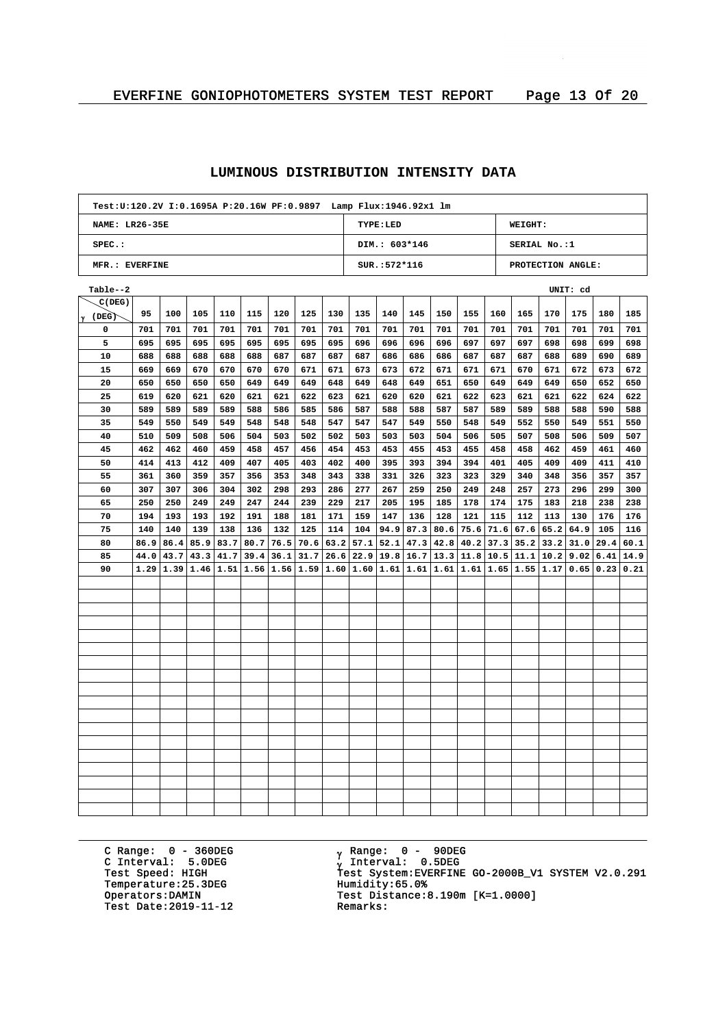| Test:U:120.2V I:0.1695A P:20.16W PF:0.9897    Lamp Flux:1946.92x1    lm |                                              |               |           |      |      |                                    |                  |     |      |               |                                       |                                 |                          |     |                             |      |                   |      |      |
|-------------------------------------------------------------------------|----------------------------------------------|---------------|-----------|------|------|------------------------------------|------------------|-----|------|---------------|---------------------------------------|---------------------------------|--------------------------|-----|-----------------------------|------|-------------------|------|------|
|                                                                         | TYPE:LED<br>NAME: LR26-35E<br><b>WEIGHT:</b> |               |           |      |      |                                    |                  |     |      |               |                                       |                                 |                          |     |                             |      |                   |      |      |
| SPEC.:                                                                  |                                              |               |           |      |      |                                    |                  |     |      | DIM.: 603*146 |                                       |                                 |                          |     | SERIAL No.:1                |      |                   |      |      |
| MFR.: EVERFINE                                                          |                                              |               |           |      |      |                                    |                  |     |      | SUR.: 572*116 |                                       |                                 |                          |     |                             |      | PROTECTION ANGLE: |      |      |
| Table--2                                                                |                                              |               |           |      |      |                                    |                  |     |      |               |                                       |                                 |                          |     |                             |      | UNIT: cd          |      |      |
| C(DEG)                                                                  |                                              |               |           |      |      |                                    |                  |     |      |               |                                       |                                 |                          |     |                             |      |                   |      |      |
| $\gamma$ (DEG)                                                          | 95                                           | 100           | 105       | 110  | 115  | 120                                | 125              | 130 | 135  | 140           | 145                                   | 150                             | 155                      | 160 | 165                         | 170  | 175               | 180  | 185  |
| 0                                                                       | 701                                          | 701           | 701       | 701  | 701  | 701                                | 701              | 701 | 701  | 701           | 701                                   | 701                             | 701                      | 701 | 701                         | 701  | 701               | 701  | 701  |
| 5                                                                       | 695                                          | 695           | 695       | 695  | 695  | 695                                | 695              | 695 | 696  | 696           | 696                                   | 696                             | 697                      | 697 | 697                         | 698  | 698               | 699  | 698  |
| 10                                                                      | 688                                          | 688           | 688       | 688  | 688  | 687                                | 687              | 687 | 687  | 686           | 686                                   | 686                             | 687                      | 687 | 687                         | 688  | 689               | 690  | 689  |
| 15                                                                      | 669                                          | 669           | 670       | 670  | 670  | 670                                | 671              | 671 | 673  | 673           | 672                                   | 671                             | 671                      | 671 | 670                         | 671  | 672               | 673  | 672  |
| 20                                                                      | 650                                          | 650           | 650       | 650  | 649  | 649                                | 649              | 648 | 649  | 648           | 649                                   | 651                             | 650                      | 649 | 649                         | 649  | 650               | 652  | 650  |
| 25                                                                      | 619                                          | 620           | 621       | 620  | 621  | 621                                | 622              | 623 | 621  | 620           | 620                                   | 621                             | 622                      | 623 | 621                         | 621  | 622               | 624  | 622  |
| 30                                                                      | 589                                          | 589           | 589       | 589  | 588  | 586                                | 585              | 586 | 587  | 588           | 588                                   | 587                             | 587                      | 589 | 589                         | 588  | 588               | 590  | 588  |
| 35                                                                      | 549                                          | 550           | 549       | 549  | 548  | 548                                | 548              | 547 | 547  | 547           | 549                                   | 550                             | 548                      | 549 | 552                         | 550  | 549               | 551  | 550  |
| 40                                                                      | 510                                          | 509           | 508       | 506  | 504  | 503                                | 502              | 502 | 503  | 503           | 503                                   | 504                             | 506                      | 505 | 507                         | 508  | 506               | 509  | 507  |
| 45                                                                      | 462                                          | 462           | 460       | 459  | 458  | 457                                | 456              | 454 | 453  | 453           | 455                                   | 453                             | 455                      | 458 | 458                         | 462  | 459               | 461  | 460  |
| 50                                                                      | 414                                          | 413           | 412       | 409  | 407  | 405                                | 403              | 402 | 400  | 395           | 393                                   | 394                             | 394                      | 401 | 405                         | 409  | 409               | 411  | 410  |
| 55                                                                      | 361                                          | 360           | 359       | 357  | 356  | 353                                | 348              | 343 | 338  | 331           | 326                                   | 323                             | 323                      | 329 | 340                         | 348  | 356               | 357  | 357  |
| 60                                                                      | 307                                          | 307           | 306       | 304  | 302  | 298                                | 293              | 286 | 277  | 267           | 259                                   | 250                             | 249                      | 248 | 257                         | 273  | 296               | 299  | 300  |
| 65                                                                      | 250                                          | 250           | 249       | 249  | 247  | 244                                | 239              | 229 | 217  | 205           | 195                                   | 185                             | 178                      | 174 | 175                         | 183  | 218               | 238  | 238  |
| 70                                                                      | 194                                          | 193           | 193       | 192  | 191  | 188                                | 181              | 171 | 159  | 147           | 136                                   | 128                             | 121                      | 115 | 112                         | 113  | 130               | 176  | 176  |
| 75                                                                      | 140                                          | 140           | 139       | 138  | 136  | 132                                | 125              | 114 | 104  | 94.9          | 87.3                                  | 80.6                            | 75.6                     |     | $71.6$ 67.6                 | 65.2 | 64.9              | 105  | 116  |
| 80                                                                      | 86.9                                         | 86.4          | 85.9      | 83.7 | 80.7 |                                    | $76.5$ 70.6 63.2 |     | 57.1 | 52.1          | 47.3                                  | 42.8                            | 40.2                     |     | $37.3$ $35.2$ $33.2$ $31.0$ |      |                   | 29.4 | 60.1 |
| 85                                                                      | 44.0                                         | 43.7          | 43.3      | 41.7 | 39.4 |                                    |                  |     |      |               | $36.1$ $31.7$ $26.6$ $22.9$ 19.8 16.7 | $13.3$ 11.8 10.5 11.1 10.2 9.02 |                          |     |                             |      |                   | 6.41 | 14.9 |
| 90                                                                      |                                              | $1.29$   1.39 | 1.46 1.51 |      |      | 1.56 1.56 1.59 1.60 1.60 1.61 1.61 |                  |     |      |               |                                       |                                 | 1.61 1.61 1.65 1.55 1.17 |     |                             |      | 0.65              | 0.23 | 0.21 |
|                                                                         |                                              |               |           |      |      |                                    |                  |     |      |               |                                       |                                 |                          |     |                             |      |                   |      |      |
|                                                                         |                                              |               |           |      |      |                                    |                  |     |      |               |                                       |                                 |                          |     |                             |      |                   |      |      |
|                                                                         |                                              |               |           |      |      |                                    |                  |     |      |               |                                       |                                 |                          |     |                             |      |                   |      |      |
|                                                                         |                                              |               |           |      |      |                                    |                  |     |      |               |                                       |                                 |                          |     |                             |      |                   |      |      |
|                                                                         |                                              |               |           |      |      |                                    |                  |     |      |               |                                       |                                 |                          |     |                             |      |                   |      |      |
|                                                                         |                                              |               |           |      |      |                                    |                  |     |      |               |                                       |                                 |                          |     |                             |      |                   |      |      |
|                                                                         |                                              |               |           |      |      |                                    |                  |     |      |               |                                       |                                 |                          |     |                             |      |                   |      |      |
|                                                                         |                                              |               |           |      |      |                                    |                  |     |      |               |                                       |                                 |                          |     |                             |      |                   |      |      |
|                                                                         |                                              |               |           |      |      |                                    |                  |     |      |               |                                       |                                 |                          |     |                             |      |                   |      |      |
|                                                                         |                                              |               |           |      |      |                                    |                  |     |      |               |                                       |                                 |                          |     |                             |      |                   |      |      |
|                                                                         |                                              |               |           |      |      |                                    |                  |     |      |               |                                       |                                 |                          |     |                             |      |                   |      |      |
|                                                                         |                                              |               |           |      |      |                                    |                  |     |      |               |                                       |                                 |                          |     |                             |      |                   |      |      |
|                                                                         |                                              |               |           |      |      |                                    |                  |     |      |               |                                       |                                 |                          |     |                             |      |                   |      |      |
|                                                                         |                                              |               |           |      |      |                                    |                  |     |      |               |                                       |                                 |                          |     |                             |      |                   |      |      |
|                                                                         |                                              |               |           |      |      |                                    |                  |     |      |               |                                       |                                 |                          |     |                             |      |                   |      |      |
|                                                                         |                                              |               |           |      |      |                                    |                  |     |      |               |                                       |                                 |                          |     |                             |      |                   |      |      |
|                                                                         |                                              |               |           |      |      |                                    |                  |     |      |               |                                       |                                 |                          |     |                             |      |                   |      |      |
|                                                                         |                                              |               |           |      |      |                                    |                  |     |      |               |                                       |                                 |                          |     |                             |      |                   |      |      |

C Range: 0 - 360DEG C Interval: 5.0DEG Temperature: 25.3DEG<br>Operators: DAMIN Test Date:  $2019-11-12$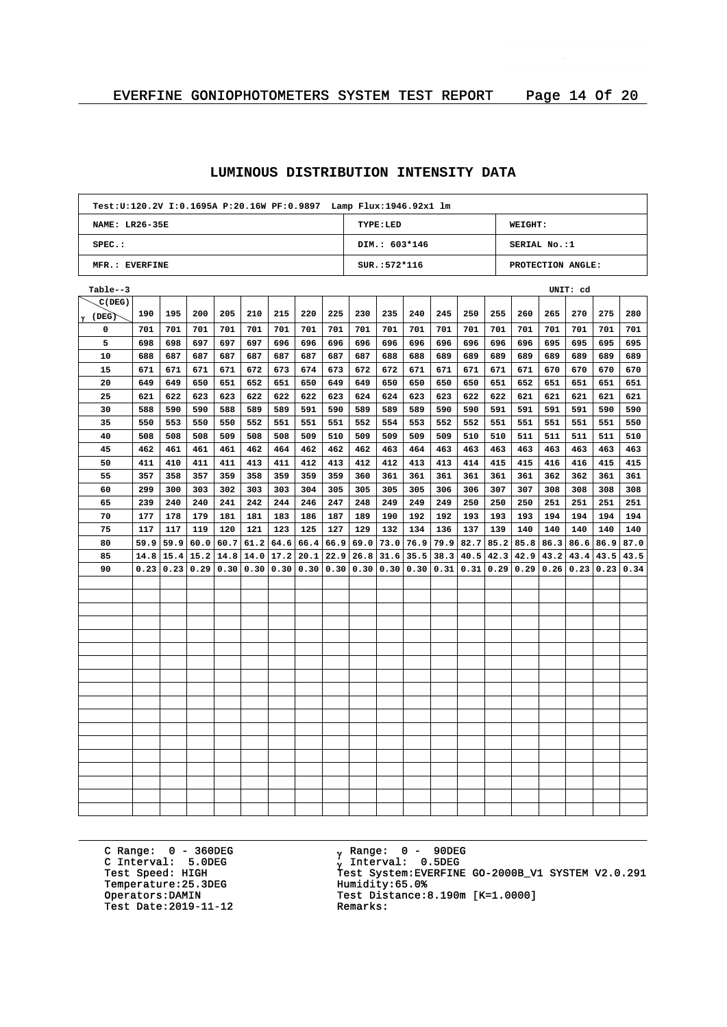| Test:U:120.2V I:0.1695A P:20.16W PF:0.9897    Lamp Flux:1946.92x1    lm |                                              |      |      |      |      |      |                  |      |                           |                 |      |      |      |               |                      |      |                                    |      |      |
|-------------------------------------------------------------------------|----------------------------------------------|------|------|------|------|------|------------------|------|---------------------------|-----------------|------|------|------|---------------|----------------------|------|------------------------------------|------|------|
|                                                                         | <b>NAME: LR26-35E</b><br>TYPE:LED<br>WEIGHT: |      |      |      |      |      |                  |      |                           |                 |      |      |      |               |                      |      |                                    |      |      |
| $SPEC.$ :                                                               |                                              |      |      |      |      |      |                  |      |                           | DIM.: 603*146   |      |      |      |               | SERIAL No.:1         |      |                                    |      |      |
| MFR.: EVERFINE                                                          |                                              |      |      |      |      |      |                  |      |                           | $SUR.: 572*116$ |      |      |      |               |                      |      | PROTECTION ANGLE:                  |      |      |
| Table--3                                                                |                                              |      |      |      |      |      |                  |      |                           |                 |      |      |      |               |                      |      | UNIT: cd                           |      |      |
| C(DEG)                                                                  |                                              |      |      |      |      |      |                  |      |                           |                 |      |      |      |               |                      |      |                                    |      |      |
| $\gamma$ (DEG)                                                          | 190                                          | 195  | 200  | 205  | 210  | 215  | 220              | 225  | 230                       | 235             | 240  | 245  | 250  | 255           | 260                  | 265  | 270                                | 275  | 280  |
| 0                                                                       | 701                                          | 701  | 701  | 701  | 701  | 701  | 701              | 701  | 701                       | 701             | 701  | 701  | 701  | 701           | 701                  | 701  | 701                                | 701  | 701  |
| 5                                                                       | 698                                          | 698  | 697  | 697  | 697  | 696  | 696              | 696  | 696                       | 696             | 696  | 696  | 696  | 696           | 696                  | 695  | 695                                | 695  | 695  |
| 10                                                                      | 688                                          | 687  | 687  | 687  | 687  | 687  | 687              | 687  | 687                       | 688             | 688  | 689  | 689  | 689           | 689                  | 689  | 689                                | 689  | 689  |
| 15                                                                      | 671                                          | 671  | 671  | 671  | 672  | 673  | 674              | 673  | 672                       | 672             | 671  | 671  | 671  | 671           | 671                  | 670  | 670                                | 670  | 670  |
| 20                                                                      | 649                                          | 649  | 650  | 651  | 652  | 651  | 650              | 649  | 649                       | 650             | 650  | 650  | 650  | 651           | 652                  | 651  | 651                                | 651  | 651  |
| 25                                                                      | 621                                          | 622  | 623  | 623  | 622  | 622  | 622              | 623  | 624                       | 624             | 623  | 623  | 622  | 622           | 621                  | 621  | 621                                | 621  | 621  |
| 30                                                                      | 588                                          | 590  | 590  | 588  | 589  | 589  | 591              | 590  | 589                       | 589             | 589  | 590  | 590  | 591           | 591                  | 591  | 591                                | 590  | 590  |
| 35                                                                      | 550                                          | 553  | 550  | 550  | 552  | 551  | 551              | 551  | 552                       | 554             | 553  | 552  | 552  | 551           | 551                  | 551  | 551                                | 551  | 550  |
| 40                                                                      | 508                                          | 508  | 508  | 509  | 508  | 508  | 509              | 510  | 509                       | 509             | 509  | 509  | 510  | 510           | 511                  | 511  | 511                                | 511  | 510  |
| 45                                                                      | 462                                          | 461  | 461  | 461  | 462  | 464  | 462              | 462  | 462                       | 463             | 464  | 463  | 463  | 463           | 463                  | 463  | 463                                | 463  | 463  |
| 50                                                                      | 411                                          | 410  | 411  | 411  | 413  | 411  | 412              | 413  | 412                       | 412             | 413  | 413  | 414  | 415           | 415                  | 416  | 416                                | 415  | 415  |
| 55                                                                      | 357                                          | 358  | 357  | 359  | 358  | 359  | 359              | 359  | 360                       | 361             | 361  | 361  | 361  | 361           | 361                  | 362  | 362                                | 361  | 361  |
| 60                                                                      | 299                                          | 300  | 303  | 302  | 303  | 303  | 304              | 305  | 305                       | 305             | 305  | 306  | 306  | 307           | 307                  | 308  | 308                                | 308  | 308  |
| 65                                                                      | 239                                          | 240  | 240  | 241  | 242  | 244  | 246              | 247  | 248                       | 249             | 249  | 249  | 250  | 250           | 250                  | 251  | 251                                | 251  | 251  |
| 70                                                                      | 177                                          | 178  | 179  | 181  | 181  | 183  | 186              | 187  | 189                       | 190             | 192  | 192  | 193  | 193           | 193                  | 194  | 194                                | 194  | 194  |
| 75                                                                      | 117                                          | 117  | 119  | 120  | 121  | 123  | 125              | 127  | 129                       | 132             | 134  | 136  | 137  | 139           | 140                  | 140  | 140                                | 140  | 140  |
| 80                                                                      | 59.9                                         | 59.9 | 60.0 | 60.7 | 61.2 |      | $64.6$ 66.4 66.9 |      | 69.0                      | 73.0            | 76.9 | 79.9 | 82.7 |               | $85.2$   85.8   86.3 |      | 86.6                               | 86.9 | 87.0 |
| 85                                                                      | 14.8                                         | 15.4 | 15.2 | 14.8 | 14.0 | 17.2 | 20.1             | 22.9 | 26.8                      | 31.6            | 35.5 | 38.3 | 40.5 | $42.3$ $42.9$ |                      | 43.2 | 43.4                               | 43.5 | 43.5 |
| 90                                                                      | 0.23                                         | 0.23 | 0.29 | 0.30 | 0.30 |      |                  |      | 0.30   0.30   0.30   0.30 | 0.30            | 0.30 | 0.31 |      |               |                      |      | $0.31$   0.29   0.29   0.26   0.23 | 0.23 | 0.34 |
|                                                                         |                                              |      |      |      |      |      |                  |      |                           |                 |      |      |      |               |                      |      |                                    |      |      |
|                                                                         |                                              |      |      |      |      |      |                  |      |                           |                 |      |      |      |               |                      |      |                                    |      |      |
|                                                                         |                                              |      |      |      |      |      |                  |      |                           |                 |      |      |      |               |                      |      |                                    |      |      |
|                                                                         |                                              |      |      |      |      |      |                  |      |                           |                 |      |      |      |               |                      |      |                                    |      |      |
|                                                                         |                                              |      |      |      |      |      |                  |      |                           |                 |      |      |      |               |                      |      |                                    |      |      |
|                                                                         |                                              |      |      |      |      |      |                  |      |                           |                 |      |      |      |               |                      |      |                                    |      |      |
|                                                                         |                                              |      |      |      |      |      |                  |      |                           |                 |      |      |      |               |                      |      |                                    |      |      |
|                                                                         |                                              |      |      |      |      |      |                  |      |                           |                 |      |      |      |               |                      |      |                                    |      |      |
|                                                                         |                                              |      |      |      |      |      |                  |      |                           |                 |      |      |      |               |                      |      |                                    |      |      |
|                                                                         |                                              |      |      |      |      |      |                  |      |                           |                 |      |      |      |               |                      |      |                                    |      |      |
|                                                                         |                                              |      |      |      |      |      |                  |      |                           |                 |      |      |      |               |                      |      |                                    |      |      |
|                                                                         |                                              |      |      |      |      |      |                  |      |                           |                 |      |      |      |               |                      |      |                                    |      |      |
|                                                                         |                                              |      |      |      |      |      |                  |      |                           |                 |      |      |      |               |                      |      |                                    |      |      |
|                                                                         |                                              |      |      |      |      |      |                  |      |                           |                 |      |      |      |               |                      |      |                                    |      |      |
|                                                                         |                                              |      |      |      |      |      |                  |      |                           |                 |      |      |      |               |                      |      |                                    |      |      |
|                                                                         |                                              |      |      |      |      |      |                  |      |                           |                 |      |      |      |               |                      |      |                                    |      |      |
|                                                                         |                                              |      |      |      |      |      |                  |      |                           |                 |      |      |      |               |                      |      |                                    |      |      |
|                                                                         |                                              |      |      |      |      |      |                  |      |                           |                 |      |      |      |               |                      |      |                                    |      |      |

C Range: 0 - 360DEG C Interval: 5.0DEG Temperature: 25.3DEG<br>Operators: DAMIN Test Date:  $2019-11-12$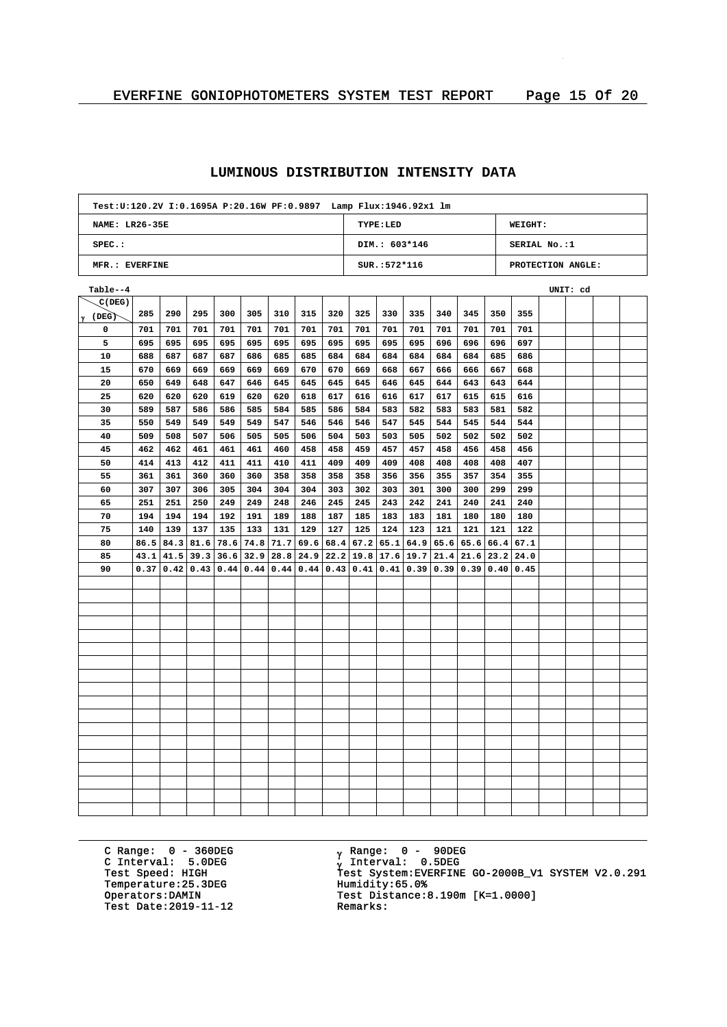| Test:U:120.2V I:0.1695A P:20.16W PF:0.9897    Lamp Flux:1946.92x1    lm |                                                     |      |      |      |      |                                                  |           |      |           |                |      |             |                       |     |                   |          |  |
|-------------------------------------------------------------------------|-----------------------------------------------------|------|------|------|------|--------------------------------------------------|-----------|------|-----------|----------------|------|-------------|-----------------------|-----|-------------------|----------|--|
|                                                                         | <b>NAME: LR26-35E</b><br>TYPE:LED<br><b>WEIGHT:</b> |      |      |      |      |                                                  |           |      |           |                |      |             |                       |     |                   |          |  |
| $SPEC.$ :                                                               |                                                     |      |      |      |      |                                                  |           |      |           | DIM.: 603*146  |      |             |                       |     | SERIAL No.:1      |          |  |
| MFR.: EVERFINE                                                          |                                                     |      |      |      |      |                                                  |           |      |           | $SUR.:572*116$ |      |             |                       |     | PROTECTION ANGLE: |          |  |
| Table--4                                                                |                                                     |      |      |      |      |                                                  |           |      |           |                |      |             |                       |     |                   | UNIT: cd |  |
| C(DEG)                                                                  |                                                     |      |      |      |      |                                                  |           |      |           |                |      |             |                       |     |                   |          |  |
| $\gamma$ (DEG)                                                          | 285                                                 | 290  | 295  | 300  | 305  | 310                                              | 315       | 320  | 325       | 330            | 335  | 340         | 345                   | 350 | 355               |          |  |
| 0                                                                       | 701                                                 | 701  | 701  | 701  | 701  | 701                                              | 701       | 701  | 701       | 701            | 701  | 701         | 701                   | 701 | 701               |          |  |
| 5                                                                       | 695                                                 | 695  | 695  | 695  | 695  | 695                                              | 695       | 695  | 695       | 695            | 695  | 696         | 696                   | 696 | 697               |          |  |
| 10                                                                      | 688                                                 | 687  | 687  | 687  | 686  | 685                                              | 685       | 684  | 684       | 684            | 684  | 684         | 684                   | 685 | 686               |          |  |
| 15                                                                      | 670                                                 | 669  | 669  | 669  | 669  | 669                                              | 670       | 670  | 669       | 668            | 667  | 666         | 666                   | 667 | 668               |          |  |
| 20                                                                      | 650                                                 | 649  | 648  | 647  | 646  | 645                                              | 645       | 645  | 645       | 646            | 645  | 644         | 643                   | 643 | 644               |          |  |
| 25                                                                      | 620                                                 | 620  | 620  | 619  | 620  | 620                                              | 618       | 617  | 616       | 616            | 617  | 617         | 615                   | 615 | 616               |          |  |
| 30                                                                      | 589                                                 | 587  | 586  | 586  | 585  | 584                                              | 585       | 586  | 584       | 583            | 582  | 583         | 583                   | 581 | 582               |          |  |
| 35                                                                      | 550                                                 | 549  | 549  | 549  | 549  | 547                                              | 546       | 546  | 546       | 547            | 545  | 544         | 545                   | 544 | 544               |          |  |
| 40                                                                      | 509                                                 | 508  | 507  | 506  | 505  | 505                                              | 506       | 504  | 503       | 503            | 505  | 502         | 502                   | 502 | 502               |          |  |
| 45                                                                      | 462                                                 | 462  | 461  | 461  | 461  | 460                                              | 458       | 458  | 459       | 457            | 457  | 458         | 456                   | 458 | 456               |          |  |
| 50                                                                      | 414                                                 | 413  | 412  | 411  | 411  | 410                                              | 411       | 409  | 409       | 409            | 408  | 408         | 408                   | 408 | 407               |          |  |
| 55                                                                      | 361                                                 | 361  | 360  | 360  | 360  | 358                                              | 358       | 358  | 358       | 356            | 356  | 355         | 357                   | 354 | 355               |          |  |
| 60                                                                      | 307                                                 | 307  | 306  | 305  | 304  | 304                                              | 304       | 303  | 302       | 303            | 301  | 300         | 300                   | 299 | 299               |          |  |
| 65                                                                      | 251                                                 | 251  | 250  | 249  | 249  | 248                                              | 246       | 245  | 245       | 243            | 242  | 241         | 240                   | 241 | 240               |          |  |
| 70                                                                      | 194                                                 | 194  | 194  | 192  | 191  | 189                                              | 188       | 187  | 185       | 183            | 183  | 181         | 180                   | 180 | 180               |          |  |
| 75                                                                      | 140                                                 | 139  | 137  | 135  | 133  | 131                                              | 129       | 127  | 125       | 124            | 123  | 121         | 121                   | 121 | 122               |          |  |
| 80                                                                      | 86.5                                                | 84.3 | 81.6 | 78.6 |      | $74.8$ 71.7 69.6                                 |           | 68.4 | 67.2      | 65.1           |      |             | $64.9$ 65.6 65.6 66.4 |     | 67.1              |          |  |
| 85                                                                      | 43.1                                                | 41.5 | 39.3 |      |      | $36.6$   32.9   28.8   24.9   22.2   19.8   17.6 |           |      |           |                |      | 19.7   21.4 | $21.6$   23.2   24.0  |     |                   |          |  |
| 90                                                                      | 0.37                                                | 0.42 | 0.43 | 0.44 | 0.44 |                                                  | 0.44 0.44 |      | 0.43 0.41 | 0.41           | 0.39 | 0.39        | 0.39 0.40             |     | 0.45              |          |  |
|                                                                         |                                                     |      |      |      |      |                                                  |           |      |           |                |      |             |                       |     |                   |          |  |
|                                                                         |                                                     |      |      |      |      |                                                  |           |      |           |                |      |             |                       |     |                   |          |  |
|                                                                         |                                                     |      |      |      |      |                                                  |           |      |           |                |      |             |                       |     |                   |          |  |
|                                                                         |                                                     |      |      |      |      |                                                  |           |      |           |                |      |             |                       |     |                   |          |  |
|                                                                         |                                                     |      |      |      |      |                                                  |           |      |           |                |      |             |                       |     |                   |          |  |
|                                                                         |                                                     |      |      |      |      |                                                  |           |      |           |                |      |             |                       |     |                   |          |  |
|                                                                         |                                                     |      |      |      |      |                                                  |           |      |           |                |      |             |                       |     |                   |          |  |
|                                                                         |                                                     |      |      |      |      |                                                  |           |      |           |                |      |             |                       |     |                   |          |  |
|                                                                         |                                                     |      |      |      |      |                                                  |           |      |           |                |      |             |                       |     |                   |          |  |
|                                                                         |                                                     |      |      |      |      |                                                  |           |      |           |                |      |             |                       |     |                   |          |  |
|                                                                         |                                                     |      |      |      |      |                                                  |           |      |           |                |      |             |                       |     |                   |          |  |
|                                                                         |                                                     |      |      |      |      |                                                  |           |      |           |                |      |             |                       |     |                   |          |  |
|                                                                         |                                                     |      |      |      |      |                                                  |           |      |           |                |      |             |                       |     |                   |          |  |
|                                                                         |                                                     |      |      |      |      |                                                  |           |      |           |                |      |             |                       |     |                   |          |  |
|                                                                         |                                                     |      |      |      |      |                                                  |           |      |           |                |      |             |                       |     |                   |          |  |
|                                                                         |                                                     |      |      |      |      |                                                  |           |      |           |                |      |             |                       |     |                   |          |  |
|                                                                         |                                                     |      |      |      |      |                                                  |           |      |           |                |      |             |                       |     |                   |          |  |
|                                                                         |                                                     |      |      |      |      |                                                  |           |      |           |                |      |             |                       |     |                   |          |  |

C Range: 0 - 360DEG C Interval: 5.0DEG Temperature: 25.3DEG<br>Operators: DAMIN Test Date:  $2019-11-12$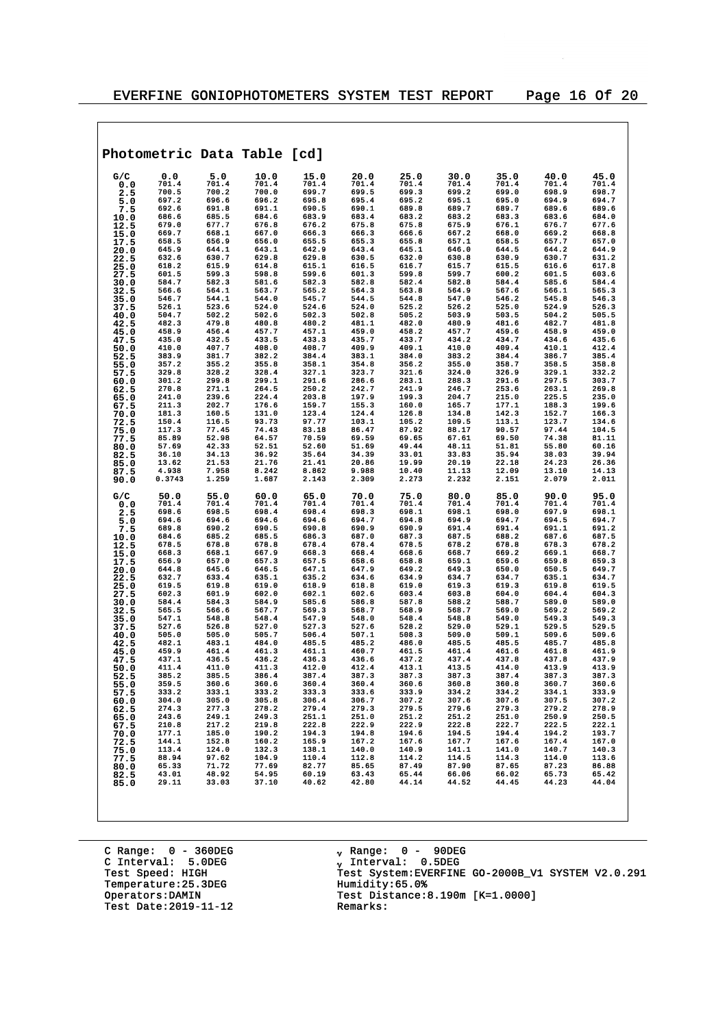$\overline{\phantom{a}}$ 

|              |                |                | Photometric Data Table [cd]                        |                |                         |                         |                |                |                |                |
|--------------|----------------|----------------|----------------------------------------------------|----------------|-------------------------|-------------------------|----------------|----------------|----------------|----------------|
| G/C          | 0.0            | 5.0            | 10.0                                               | 15.0           | 20.0                    | 25.0                    | 30.0           | 35.0           | 40.0           | 45.0           |
| 0.0          | 701.4          | 701.4          | 701.4                                              | 701.4          | 701.4                   | 701.4                   | 701.4          | 701.4          | 701.4          | 701.4          |
| 2.5          | 700.5          | 700.2          | 700.0                                              | 699.7          | 699.5                   | 699.3                   | 699.2          | 699.0          | 698.9          | 698.7          |
| 5.0          | 697.2          | 696.6          | 696.2                                              | 695.8          | 695.4                   | 695.2                   | 695.1          | 695.0          | 694.9          | 694.7          |
| 7.5          | 692.6<br>686.6 | 691.8<br>685.5 | 691.1<br>684.6                                     | 690.5<br>683.9 | 690.1<br>683.4          | 689.8<br>683.2          | 689.7<br>683.2 | 689.7<br>683.3 | 689.6<br>683.6 | 689.6<br>684.0 |
| 10.0<br>12.5 | 679.0          | 677.7          | 676.8                                              | 676.2          | 675.8                   | 675.8                   | 675.9          | 676.1          | 676.7          | 677.6          |
| 15.0         | 669.7          | 668.1          | 667.0                                              | 666.3          | 666.3                   | 666.6                   | 667.2          | 668.0          | 669.2          | 668.8          |
| 17.5         | 658.5          | 656.9          | 656.0                                              | 655.5          | 655.3                   | 655.8                   | 657.1          | 658.5          | 657.7          | 657.0          |
| 20.0         | 645.9          | 644.1          | 643.1                                              | 642.9          | 643.4                   | 645.1                   | 646.0          | 644.5          | 644.2          | 644.9          |
| 22.5<br>25.0 | 632.6<br>618.2 | 630.7<br>615.9 | 629.8<br>614.8                                     | 629.8<br>615.1 | 630.5<br>616.5          | 632.0<br>616.7          | 630.8<br>615.7 | 630.9<br>615.5 | 630.7<br>616.6 | 631.2<br>617.8 |
| 27.5         | 601.5          | 599.3          | 598.8                                              | 599.6          | 601.3                   | 599.8                   | 599.7          | 600.2          | 601.5          | 603.6          |
| 30.0         | 584.7          | 582.3          | 581.6                                              | 582.3          | 582.8                   | 582.4                   | 582.8          | 584.4          | 585.6          | 584.4          |
| 32.5         | 566.6          | 564.1          | 563.7                                              | 565.2          | 564.3                   | 563.8                   | 564.9          | 567.6          | 566.1          | 565.3          |
| 35.0         | 546.7<br>526.1 | 544.1<br>523.6 | 544.0<br>524.0                                     | 545.7<br>524.6 | 544.5<br>524.0          | 544.8<br>525.2          | 547.0<br>526.2 | 546.2<br>525.0 | 545.8<br>524.9 | 546.3<br>526.3 |
| 37.5<br>40.0 | 504.7          | 502.2          | 502.6                                              | 502.3          | 502.8                   | 505.2                   | 503.9          | 503.5          | 504.2          | 505.5          |
| 42.5         | 482.3          | 479.8          | 480.8                                              | 480.2          | 481.1                   | 482.0                   | 480.9          | 481.6          | 482.7          | 481.8          |
| 45.0         | 458.9          | 456.4          | 457.7                                              | 457.1          | 459.0                   | 458.2                   | 457.7          | 459.6          | 458.9          | 459.0          |
| 47.5         | 435.0<br>410.0 | 432.5<br>407.7 | 433.5<br>408.0                                     | 433.3<br>408.7 | 435.7<br>409.9          | 433.7<br>409.1          | 434.2<br>410.0 | 434.7<br>409.4 | 434.6<br>410.1 | 435.6<br>412.4 |
| 50.0<br>52.5 | 383.9          | 381.7          | 382.2                                              | 384.4          | 383.1                   | 384.0                   | 383.2          | 384.4          | 386.7          | 385.4          |
| 55.0         | 357.2          | 355.2          | 355.8                                              | 358.1          | 354.8                   | 356.2                   | 355.0          | 358.7          | 358.5          | 358.8          |
| 57.5         | 329.8          | 328.2          | 328.4                                              | 327.1          | 323.7                   | 321.6                   | 324.0          | 326.9          | 329.1          | 332.2          |
| 60.0         | 301.2<br>270.8 | 299.8<br>271.1 | 299.1<br>264.5                                     | 291.6<br>250.2 | 286.6<br>242.7          | 283.1<br>241.9          | 288.3<br>246.7 | 291.6<br>253.6 | 297.5<br>263.1 | 303.7<br>269.8 |
| 62.5<br>65.0 | 241.0          | 239.6          | 224.4                                              | 203.8          | 197.9                   | 199.3                   | 204.7          | 215.0          | 225.5          | 235.0          |
| 67.5         | 211.3          | 202.7          | 176.6                                              | 159.7          | 155.3                   | 160.0                   | 165.7          | 177.1          | 188.3          | 199.6          |
| 70.0         | 181.3          | 160.5          | 131.0                                              | 123.4          | 124.4                   | 126.8                   | 134.8          | 142.3          | 152.7          | 166.3          |
| 72.5<br>75.0 | 150.4<br>117.3 | 116.5<br>77.45 | 93.73<br>74.43                                     | 97.77<br>83.18 | 103.1<br>86.47          | 105.2<br>87.92          | 109.5<br>88.17 | 113.1<br>90.57 | 123.7<br>97.44 | 134.6<br>104.5 |
| 77.5         | 85.89          | 52.98          | 64.57                                              | 70.59          | 69.59                   | 69.65                   | 67.61          | 69.50          | 74.38          | 81.11          |
| 80.0         | 57.69          | 42.33          | 52.51                                              | 52.60          | 51.69                   | 49.44                   | 48.11          | 51.81          | 55.80          | 60.16          |
| 82.5         | 36.10          | 34.13          | 36.92                                              | 35.64          | 34.39                   | 33.01                   | 33.83          | 35.94          | 38.03          | 39.94          |
| 85.0<br>87.5 | 13.62<br>4.938 | 21.53<br>7.958 | 21.76<br>8.242                                     | 21.41<br>8.862 | 20.86<br>9.988          | 19.99<br>10.40          | 20.19<br>11.13 | 22.18<br>12.09 | 24.23<br>13.10 | 26.36<br>14.13 |
| 90.0         | 0.3743         | 1.259          | 1.687                                              | 2.143          | 2.309                   | 2.273                   | 2.232          | 2.151          | 2.079          | 2.011          |
| G/C          | 50.0           | 55.0           | 60.0                                               | 65.0           | 70.0                    | 75.0                    | 80.0           | 85.0           | 90.0           | 95.0           |
| 0.0          | 701.4<br>698.6 | 701.4<br>698.5 | 701.4<br>698.4                                     | 701.4<br>698.4 | 701.4<br>698.3          | 701.4<br>698.1          | 701.4<br>698.1 | 701.4<br>698.0 | 701.4<br>697.9 | 701.4<br>698.1 |
| 2.5<br>5.0   | 694.6          | 694.6          | 694.6                                              | 694.6          | 694.7                   | 694.8                   | 694.9          | 694.7          | 694.5          | 694.7          |
| 7.5          | 689.8          | 690.2          | 690.5                                              | 690.8          | 690.9                   | 690.9                   | 691.4          | 691.4          | 691.1          | 691.2          |
| 10.0         | 684.6          | 685.2          | 685.5                                              | 686.3          | 687.0                   | 687.3                   | 687.5          | 688.2          | 687.6          | 687.5          |
| 12.5<br>15.0 | 678.5<br>668.3 | 678.8<br>668.1 | 678.8<br>667.9                                     | 678.4<br>668.3 | 678.4<br>668.4          | 678.5<br>668.6          | 678.2<br>668.7 | 678.8<br>669.2 | 678.3<br>669.1 | 678.2<br>668.7 |
| 17.5         | 656.9          | 657.0          | 657.3                                              | 657.5          | 658.6                   | 658.8                   | 659.1          | 659.6          | 659.8          | 659.3          |
| 20.0         | 644.8          | 645.6          | 646.5                                              | 647.1          | 647.9                   | 649.2                   | 649.3          | 650.0          | 650.5          | 649.7          |
| 22.5         | 632.7          | 633.4          | 635.1                                              | 635.2          | 634.6                   | 634.9                   | 634.7          | 634.7          | 635.1          | 634.7          |
| 25.0         | 619.5<br>602.3 | 619.8<br>601.9 | 619.0<br>602.0                                     | 618.9<br>602.1 | 618.8<br>602.6          | 619.0<br>603.4          | 619.3<br>603.8 | 619.3<br>604.0 | 619.8<br>604.4 | 619.5<br>604.3 |
| 27.5<br>30.0 | 584.4          | 584.3          | 584.9                                              | 585.6          | 586.8                   | 587.8                   | 588.2          | 588.7          | 589.0          | 589.0          |
| 32.5         | 565.5          | 566.6          | 567.7                                              | 569.3          | 568.7                   | 568.9                   | 568.7          | 569.0          | 569.2          | 569.2          |
| 35.0         | 547.1          | 548.8          | 548.4                                              | 547.9          | 548.0                   | 548.4                   | 548.8          | 549.0          | 549.3          | 549.3          |
| 37.5         | 527.6<br>505.0 | 526.8<br>505.0 | 527.0<br>505.7                                     | 527.3<br>506.4 | 527.6<br>507.1          | 528.2<br>508.3          | 529.0<br>509.0 | 529.1<br>509.1 | 529.5<br>509.6 | 529.5<br>509.6 |
| 40.0<br>42.5 | 482.1          | 483.1          | 484.0                                              | 485.5          | 485.2                   | 486.0                   | 485.5          | 485.5          | 485.7          | 485.8          |
| 45.0         | 459.9          | 461.4          | 461.3                                              | 461.1          | 460.7                   | 461.5                   | 461.4          | 461.6          | 461.8          | 461.9          |
| 47.5         | 437.1          | 436.5          | 436.2                                              | 436.3          | 436.6                   | 437.2                   | 437.4          | 437.8          | 437.8<br>413.9 | 437.9          |
| 50.0         | 411.4<br>385.2 | 411.0<br>385.5 | 411.3<br>386.4                                     | 412.0<br>387.4 | 412.4<br>387.3          | 413.1<br>387.3          | 413.5<br>387.3 | 414.0<br>387.4 | 387.3          | 413.9<br>387.3 |
| 52.5<br>55.0 | 359.5          | 360.6          | 360.6                                              | 360.4          | 360.4                   | 360.6                   | 360.8          | 360.8          | 360.7          | 360.6          |
| 57.5         | 333.2          | 333.1          | 333.2                                              | 333.3          | 333.6                   | 333.9                   | 334.2          | 334.2          | 334.1          | 333.9          |
| 60.0         | 304.0          | 305.0<br>277.3 | 305.8<br>278.2                                     | 306.4          | 306.7                   | 307.2                   | 307.6<br>279.6 | 307.6          | 307.5<br>279.2 | 307.2<br>278.9 |
| 62.5<br>65.0 | 274.3<br>243.6 | 249.1          | 249.3                                              | 279.4<br>251.1 | 279.3<br>251.0          | 279.5<br>251.2          | 251.2          | 279.3<br>251.0 | 250.9          | 250.5          |
| 67.5         | 210.8          | 217.2          | 219.8                                              | 222.8          | 222.9                   | 222.9                   | 222.8          | 222.7          | 222.5          | 222.1          |
| 70.0         | 177.1          | 185.0          | 190.2                                              | 194.3          | 194.8                   | 194.6                   | 194.5          | 194.4          | 194.2          | 193.7          |
| 72.5         | 144.1<br>113.4 | 152.8<br>124.0 |                                                    | 165.9<br>138.1 | 167.2<br>140.0          |                         | 167.7<br>141.1 | 167.6<br>141.0 | 167.4<br>140.7 | 167.0<br>140.3 |
| 75.0<br>77.5 | 88.94          | 97.62          |                                                    | 110.4          | 112.8                   | 167.6<br>140.9<br>114.2 | 114.5          | 114.3          | 114.0          | 113.6          |
| 80.0         | 65.33          | 71.72          | 190.2<br>160.2<br>132.3<br>104.9<br>77.69<br>54.95 | 82.77          | 85.65                   | 87.49                   | 87.90          | 87.65          | 87.23          | 86.88          |
| 82.5<br>85.0 | 43.01<br>29.11 | 48.92<br>33.03 | 37.10                                              | 60.19<br>40.62 | 63.43<br>42.80<br>42.80 | 65.44<br>44.14          | 66.06<br>44.52 | 66.02<br>44.45 | 65.73<br>44.23 | 65.42<br>44.04 |
|              |                |                |                                                    |                |                         |                         |                |                |                |                |
|              |                |                |                                                    |                |                         |                         |                |                |                |                |

C Range: 0 - 360DEG C Interval: 5.0DEG Temperature: 25.3DEG<br>Operators:DAMIN Test Date:  $2019-11-12$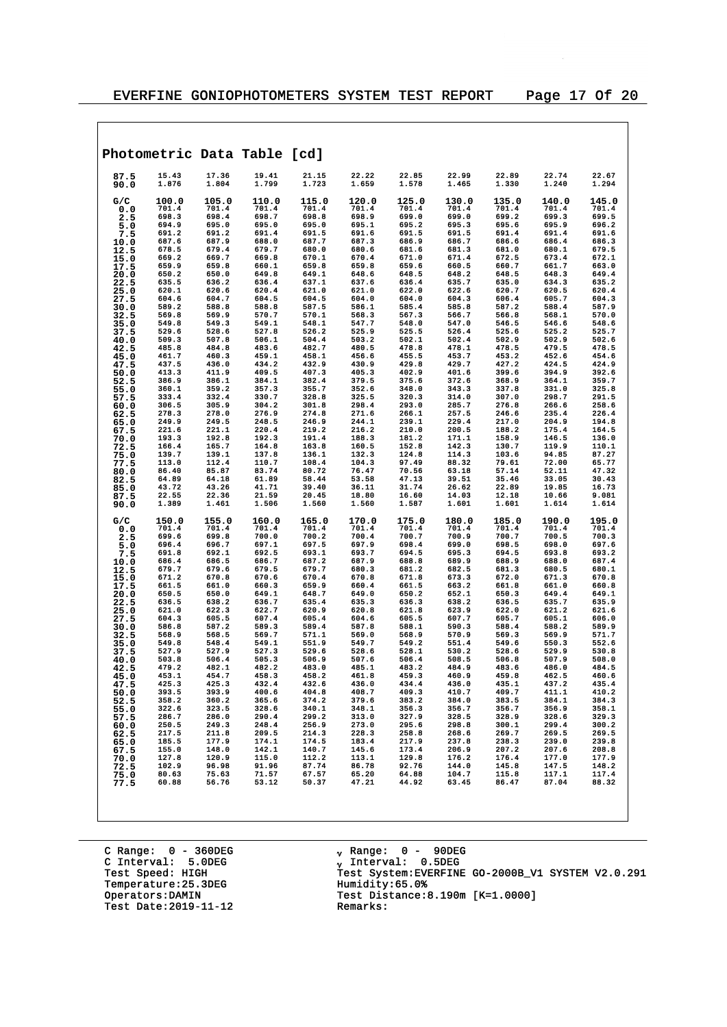|              |                |                | Photometric Data Table [cd] |                |                |                |                |                |                |                |
|--------------|----------------|----------------|-----------------------------|----------------|----------------|----------------|----------------|----------------|----------------|----------------|
| 87.5<br>90.0 | 15.43<br>1.876 | 17.36<br>1.804 | 19.41<br>1.799              | 21.15<br>1.723 | 22.22<br>1.659 | 22.85<br>1.578 | 22.99<br>1.465 | 22.89<br>1.330 | 22.74<br>1.240 | 22.67<br>1.294 |
| G/C          | 100.0<br>701.4 | 105.0<br>701.4 | 110.0<br>701.4              | 115.0<br>701.4 | 120.0<br>701.4 | 125.0<br>701.4 | 130.0<br>701.4 | 135.0<br>701.4 | 140.0<br>701.4 | 145.0<br>701.4 |
| 0.0<br>2.5   | 698.3          | 698.4          | 698.7                       | 698.8          | 698.9          | 699.0          | 699.0          | 699.2          | 699.3          | 699.5          |
| 5.0          | 694.9          | 695.0          | 695.0                       | 695.0          | 695.1          | 695.2          | 695.3          | 695.6          | 695.9          | 696.2          |
| 7.5          | 691.2          | 691.2          | 691.4                       | 691.5          | 691.6          | 691.5          | 691.5          | 691.4          | 691.4          | 691.6          |
| 10.0         | 687.6<br>678.5 | 687.9<br>679.4 | 688.0<br>679.7              | 687.7<br>680.0 | 687.3<br>680.6 | 686.9<br>681.6 | 686.7<br>681.3 | 686.6<br>681.0 | 686.4<br>680.1 | 686.3<br>679.5 |
| 12.5<br>15.0 | 669.2          | 669.7          | 669.8                       | 670.1          | 670.4          | 671.0          | 671.4          | 672.5          | 673.4          | 672.1          |
| 17.5         | 659.9          | 659.8          | 660.1                       | 659.8          | 659.8          | 659.6          | 660.5          | 660.7          | 661.7          | 663.0          |
| 20.0         | 650.2          | 650.0          | 649.8                       | 649.1          | 648.6          | 648.5          | 648.2          | 648.5          | 648.3          | 649.4          |
| 22.5         | 635.5<br>620.1 | 636.2<br>620.6 | 636.4<br>620.4              | 637.1<br>621.0 | 637.6<br>621.0 | 636.4<br>622.0 | 635.7<br>622.6 | 635.0<br>620.7 | 634.3<br>620.5 | 635.2<br>620.4 |
| 25.0<br>27.5 | 604.6          | 604.7          | 604.5                       | 604.5          | 604.0          | 604.0          | 604.3          | 606.4          | 605.7          | 604.3          |
| 30.0         | 589.2          | 588.8          | 588.8                       | 587.5          | 586.1          | 585.4          | 585.8          | 587.2          | 588.4          | 587.9          |
| 32.5         | 569.8<br>549.8 | 569.9<br>549.3 | 570.7<br>549.1              | 570.1<br>548.1 | 568.3<br>547.7 | 567.3<br>548.0 | 566.7<br>547.0 | 566.8<br>546.5 | 568.1<br>546.6 | 570.0<br>548.6 |
| 35.0<br>37.5 | 529.6          | 528.6          | 527.8                       | 526.2          | 525.9          | 525.5          | 526.4          | 525.6          | 525.2          | 525.7          |
| 40.0         | 509.3          | 507.8          | 506.1                       | 504.4          | 503.2          | 502.1          | 502.4          | 502.9          | 502.9          | 502.6          |
| 42.5         | 485.8          | 484.8          | 483.6                       | 482.7          | 480.5          | 478.8          | 478.1          | 478.5          | 479.5          | 478.5          |
| 45.0<br>47.5 | 461.7<br>437.5 | 460.3<br>436.0 | 459.1<br>434.2              | 458.1<br>432.9 | 456.6<br>430.9 | 455.5<br>429.8 | 453.7<br>429.7 | 453.2<br>427.2 | 452.6<br>424.5 | 454.6<br>424.9 |
| 50.0         | 413.3          | 411.9          | 409.5                       | 407.3          | 405.3          | 402.9          | 401.6          | 399.6          | 394.9          | 392.6          |
| 52.5         | 386.9          | 386.1          | 384.1                       | 382.4          | 379.5          | 375.6          | 372.6          | 368.9          | 364.1          | 359.7          |
| 55.0         | 360.1<br>333.4 | 359.2<br>332.4 | 357.3<br>330.7              | 355.7<br>328.8 | 352.6<br>325.5 | 348.0<br>320.3 | 343.3<br>314.0 | 337.8<br>307.0 | 331.0<br>298.7 | 325.8<br>291.5 |
| 57.5<br>60.0 | 306.5          | 305.9          | 304.2                       | 301.8          | 298.4          | 293.0          | 285.7          | 276.8          | 266.6          | 258.6          |
| 62.5         | 278.3          | 278.0          | 276.9                       | 274.8          | 271.6          | 266.1          | 257.5          | 246.6          | 235.4          | 226.4          |
| 65.0         | 249.9          | 249.5          | 248.5                       | 246.9          | 244.1          | 239.1          | 229.4          | 217.0          | 204.9          | 194.8          |
| 67.5<br>70.0 | 221.6<br>193.3 | 221.1<br>192.8 | 220.4<br>192.3              | 219.2<br>191.4 | 216.2<br>188.3 | 210.0<br>181.2 | 200.5<br>171.1 | 188.2<br>158.9 | 175.4<br>146.5 | 164.5<br>136.0 |
| 72.5         | 166.4          | 165.7          | 164.8                       | 163.8          | 160.5          | 152.8          | 142.3          | 130.7          | 119.9          | 110.1          |
| 75.0         | 139.7          | 139.1          | 137.8                       | 136.1          | 132.3          | 124.8          | 114.3          | 103.6          | 94.85          | 87.27          |
| 77.5         | 113.0          | 112.4          | 110.7                       | 108.4          | 104.3          | 97.49          | 88.32          | 79.61          | 72.00          | 65.77          |
| 80.0<br>82.5 | 86.40<br>64.89 | 85.87<br>64.18 | 83.74<br>61.89              | 80.72<br>58.44 | 76.47<br>53.58 | 70.56<br>47.13 | 63.18<br>39.51 | 57.14<br>35.46 | 52.11<br>33.05 | 47.32<br>30.43 |
| 85.0         | 43.72          | 43.26          | 41.71                       | 39.40          | 36.11          | 31.74          | 26.62          | 22.89          | 19.85          | 16.73          |
| 87.5<br>90.0 | 22.55<br>1.389 | 22.36<br>1.461 | 21.59<br>1.506              | 20.45<br>1.560 | 18.80<br>1.560 | 16.60<br>1.587 | 14.03<br>1.601 | 12.18<br>1.601 | 10.66<br>1.614 | 9.081<br>1.614 |
|              |                |                |                             |                |                |                |                |                |                |                |
| G/C<br>0.0   | 150.0<br>701.4 | 155.0<br>701.4 | 160.0<br>701.4              | 165.0<br>701.4 | 170.0<br>701.4 | 175.0<br>701.4 | 180.0<br>701.4 | 185.0<br>701.4 | 190.0<br>701.4 | 195.0<br>701.4 |
| 2.5          | 699.6          | 699.8          | 700.0                       | 700.2          | 700.4          | 700.7          | 700.9          | 700.7          | 700.5          | 700.3          |
| 5.0          | 696.4          | 696.7<br>692.1 | 697.1<br>692.5              | 697.5<br>693.1 | 697.9          | 698.4<br>694.5 | 699.0          | 698.5<br>694.5 | 698.0<br>693.8 | 697.6<br>693.2 |
| 7.5<br>10.0  | 691.8<br>686.4 | 686.5          | 686.7                       | 687.2          | 693.7<br>687.9 | 688.8          | 695.3<br>689.9 | 688.9          | 688.0          | 687.4          |
| 12.5         | 679.7          | 679.6          | 679.5                       | 679.7          | 680.3          | 681.2          | 682.5          | 681.3          | 680.5          | 680.1          |
| 15.0         | 671.2          | 670.8          | 670.6                       | 670.4          | 670.8          | 671.8          | 673.3          | 672.0          | 671.3          | 670.8          |
| 17.5<br>20.0 | 661.5<br>650.5 | 661.0<br>650.0 | 660.3<br>649.1              | 659.9<br>648.7 | 660.4<br>649.0 | 661.5<br>650.2 | 663.2<br>652.1 | 661.8<br>650.3 | 661.0<br>649.4 | 660.8<br>649.1 |
| 22.5         | 636.5          | 638.2          | 636.7                       | 635.4          | 635.3          | 636.3          | 638.2          | 636.5          | 635.7          | 635.9          |
| 25.0         | 621.0          | 622.3          | 622.7                       | 620.9          | 620.8          | 621.8          | 623.9          | 622.0          | 621.2          | 621.6          |
| 27.5         | 604.3<br>586.8 | 605.5<br>587.2 | 607.4<br>589.3              | 605.4<br>589.4 | 604.6<br>587.8 | 605.5<br>588.1 | 607.7<br>590.3 | 605.7<br>588.4 | 605.1<br>588.2 | 606.0<br>589.9 |
| 30.0<br>32.5 | 568.9          | 568.5          | 569.7                       | 571.1          | 569.0          | 568.9          | 570.9          | 569.3          | 569.9          | 571.7          |
| 35.0         | 549.8          | 548.4          | 549.1                       | 551.9          | 549.7          | 549.2          | 551.4          | 549.6          | 550.3          | 552.6          |
| 37.5         | 527.9          | 527.9          | 527.3<br>505.3              | 529.6          | 528.6          | 528.1          | 530.2          | 528.6<br>506.8 | 529.9          | 530.8          |
| 40.0<br>42.5 | 503.8<br>479.2 | 506.4<br>482.1 | 482.2                       | 506.9<br>483.0 | 507.6<br>485.1 | 506.4<br>483.2 | 508.5<br>484.9 | 483.6          | 507.9<br>486.0 | 508.0<br>484.5 |
| 45.0         | 453.1          | 454.7          | 458.3                       | 458.2          | 461.8          | 459.3          | 460.9          | 459.8          | 462.5          | 460.6          |
| 47.5         | 425.3          | 425.3          | 432.4                       | 432.6          | 436.0          | 434.4          | 436.0          | 435.1          | 437.2          | 435.4          |
| 50.0<br>52.5 | 393.5<br>358.2 | 393.9<br>360.2 | 400.6<br>365.6              | 404.8<br>374.2 | 408.7<br>379.6 | 409.3<br>383.2 | 410.7<br>384.0 | 409.7<br>383.5 | 411.1<br>384.1 | 410.2<br>384.3 |
| 55.0         | 322.6          | 323.5          | 328.6                       | 340.1          | 348.1          | 356.3          | 356.7          | 356.7          | 356.9          | 358.1          |
| 57.5         | 286.7          | 286.0          | 290.4                       | 299.2          | 313.0          | 327.9          | 328.5          | 328.9          | 328.6          | 329.3          |
| 60.0         | 250.5          | 249.3          | 248.4                       | 256.9          | 273.0          | 295.6          | 298.8          | 300.1          | 299.4          | 300.2          |
| 62.5<br>65.0 | 217.5<br>185.5 | 211.8<br>177.9 | 209.5<br>174.1              | 214.3<br>174.5 | 228.3<br>183.4 | 258.8<br>217.9 | 268.6<br>237.8 | 269.7<br>238.3 | 269.5<br>239.0 | 269.5<br>239.8 |
| 67.5         | 155.0          | 148.0          | 142.1                       | 140.7          | 145.6          | 173.4          | 206.9          | 207.2          | 207.6          | 208.8          |
| 70.0         | 127.8          | 120.9          | 115.0                       | 112.2          | 113.1          | 129.8          | 176.2          | 176.4          | 177.0          | 177.9          |
| 72.5         | 102.9<br>80.63 | 96.98<br>75.63 | 91.96<br>71.57              | 87.74<br>67.57 | 86.78<br>65.20 | 92.76<br>64.88 | 144.0<br>104.7 | 145.8<br>115.8 | 147.5<br>117.1 | 148.2<br>117.4 |
| 75.0<br>77.5 | 60.88          | 56.76          | 53.12                       | 50.37          | 47.21          | 44.92          | 63.45          | 86.47          | 87.04          | 88.32          |
|              |                |                |                             |                |                |                |                |                |                |                |
|              |                |                |                             |                |                |                |                |                |                |                |

C Range: 0 - 360DEG C Interval: 5.0DEG Temperature: 25.3DEG<br>Operators:DAMIN Test Date:  $2019-11-12$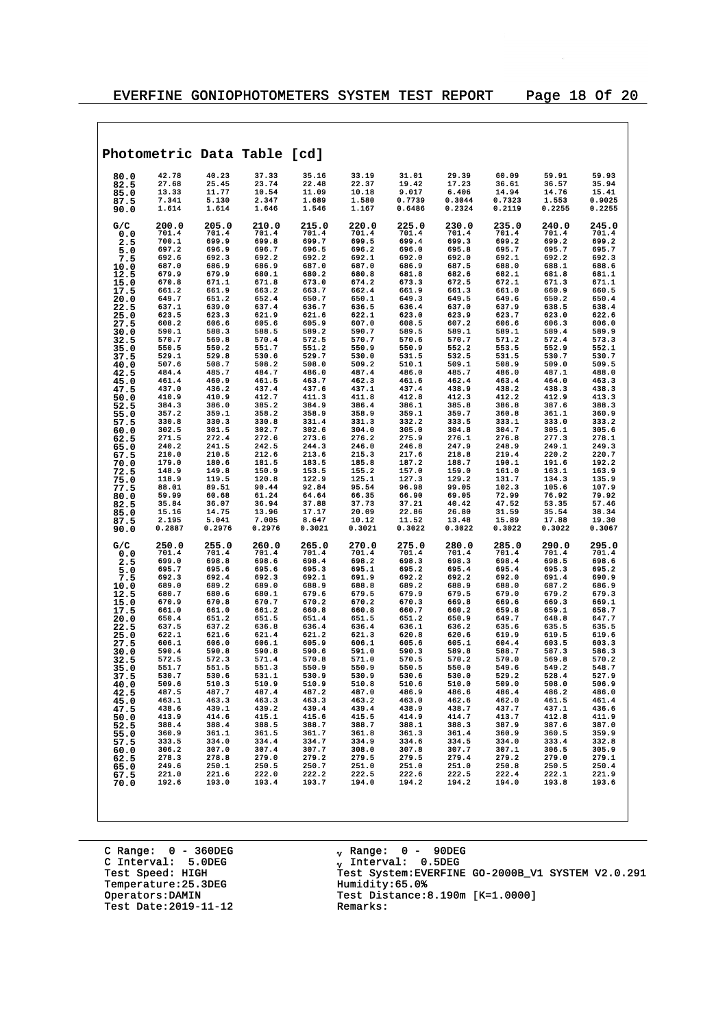|              | Photometric Data Table [cd] |                 |                 |                 |                 |                 |                 |                 |                 |                 |
|--------------|-----------------------------|-----------------|-----------------|-----------------|-----------------|-----------------|-----------------|-----------------|-----------------|-----------------|
| 80.0         | 42.78                       | 40.23           | 37.33           | 35.16           | 33.19           | 31.01           | 29.39           | 60.09           | 59.91           | 59.93           |
| 82.5<br>85.0 | 27.68<br>13.33              | 25.45<br>11.77  | 23.74<br>10.54  | 22.48<br>11.09  | 22.37<br>10.18  | 19.42<br>9.017  | 17.23<br>6.406  | 36.61<br>14.94  | 36.57<br>14.76  | 35.94<br>15.41  |
| 87.5         | 7.341                       | 5.130           | 2.347           | 1.689           | 1.580           | 0.7739          | 0.3044          | 0.7323          | 1.553           | 0.9025          |
| 90.0         | 1.614                       | 1.614           | 1.646           | 1.546           | 1.167           | 0.6486          | 0.2324          | 0.2119          | 0.2255          | 0.2255          |
| G/C<br>0.0   | 200.0<br>701.4              | 205.0<br>701.4  | 210.0<br>701.4  | 215.0<br>701.4  | 220.0<br>701.4  | 225.0<br>701.4  | 230.0<br>701.4  | 235.0<br>701.4  | 240.0<br>701.4  | 245.0<br>701.4  |
| 2.5          | 700.1                       | 699.9           | 699.8           | 699.7           | 699.5           | 699.4           | 699.3           | 699.2           | 699.2           | 699.2           |
| 5.0          | 697.2                       | 696.9           | 696.7           | 696.5           | 696.2           | 696.0           | 695.8           | 695.7           | 695.7           | 695.7           |
| 7.5<br>10.0  | 692.6<br>687.0              | 692.3<br>686.9  | 692.2<br>686.9  | 692.2<br>687.0  | 692.1<br>687.0  | 692.0<br>686.9  | 692.0<br>687.5  | 692.1<br>688.0  | 692.2<br>688.1  | 692.3<br>688.6  |
| 12.5         | 679.9                       | 679.9           | 680.1           | 680.2           | 680.8           | 681.8           | 682.6           | 682.1           | 681.8           | 681.1           |
| 15.0         | 670.8                       | 671.1           | 671.8           | 673.0           | 674.2           | 673.3           | 672.5           | 672.1           | 671.3           | 671.1           |
| 17.5<br>20.0 | 661.2<br>649.7              | 661.9<br>651.2  | 663.2<br>652.4  | 663.7<br>650.7  | 662.4<br>650.1  | 661.9<br>649.3  | 661.3<br>649.5  | 661.0<br>649.6  | 660.9<br>650.2  | 660.5<br>650.4  |
| 22.5         | 637.1                       | 639.0           | 637.4           | 636.7           | 636.5           | 636.4           | 637.0           | 637.9           | 638.5           | 638.4           |
| 25.0         | 623.5                       | 623.3           | 621.9           | 621.6           | 622.1           | 623.0           | 623.9           | 623.7           | 623.0           | 622.6           |
| 27.5<br>30.0 | 608.2<br>590.1              | 606.6<br>588.3  | 605.6<br>588.5  | 605.9<br>589.2  | 607.0<br>590.7  | 608.5<br>589.5  | 607.2<br>589.1  | 606.6<br>589.1  | 606.3<br>589.4  | 606.0<br>589.9  |
| 32.5         | 570.7                       | 569.8           | 570.4           | 572.5           | 570.7           | 570.6           | 570.7           | 571.2           | 572.4           | 573.3           |
| 35.0         | 550.5                       | 550.2           | 551.7           | 551.2           | 550.9           | 550.9           | 552.2           | 553.5           | 552.9           | 552.1           |
| 37.5<br>40.0 | 529.1<br>507.6              | 529.8<br>508.7  | 530.6<br>508.2  | 529.7<br>508.0  | 530.0<br>509.2  | 531.5<br>510.1  | 532.5<br>509.1  | 531.5<br>508.9  | 530.7<br>509.0  | 530.7<br>509.5  |
| 42.5         | 484.4                       | 485.7           | 484.7           | 486.0           | 487.4           | 486.0           | 485.7           | 486.0           | 487.1           | 488.0           |
| 45.0         | 461.4                       | 460.9           | 461.5           | 463.7           | 462.3           | 461.6           | 462.4           | 463.4           | 464.0           | 463.3           |
| 47.5         | 437.0<br>410.9              | 436.2<br>410.9  | 437.4<br>412.7  | 437.6<br>411.3  | 437.1<br>411.8  | 437.4<br>412.8  | 438.9<br>412.3  | 438.2<br>412.2  | 438.3<br>412.9  | 438.3<br>413.3  |
| 50.0<br>52.5 | 384.3                       | 386.0           | 385.2           | 384.9           | 386.4           | 386.1           | 385.8           | 386.8           | 387.6           | 388.3           |
| 55.0         | 357.2                       | 359.1           | 358.2           | 358.9           | 358.9           | 359.1           | 359.7           | 360.8           | 361.1           | 360.9           |
| 57.5         | 330.8<br>302.5              | 330.3<br>301.5  | 330.8<br>302.7  | 331.4<br>302.6  | 331.3<br>304.0  | 332.2<br>305.0  | 333.5<br>304.8  | 333.1<br>304.7  | 333.0<br>305.1  | 333.2<br>305.6  |
| 60.0<br>62.5 | 271.5                       | 272.4           | 272.6           | 273.6           | 276.2           | 275.9           | 276.1           | 276.8           | 277.3           | 278.1           |
| 65.0         | 240.2                       | 241.5           | 242.5           | 244.3           | 246.0           | 246.8           | 247.9           | 248.9           | 249.1           | 249.3           |
| 67.5<br>70.0 | 210.0<br>179.0              | 210.5<br>180.6  | 212.6<br>181.5  | 213.6<br>183.5  | 215.3<br>185.8  | 217.6<br>187.2  | 218.8<br>188.7  | 219.4<br>190.1  | 220.2<br>191.6  | 220.7<br>192.2  |
| 72.5         | 148.9                       | 149.8           | 150.9           | 153.5           | 155.2           | 157.0           | 159.0           | 161.0           | 163.1           | 163.9           |
| 75.0         | 118.9                       | 119.5           | 120.8           | 122.9           | 125.1           | 127.3           | 129.2           | 131.7           | 134.3           | 135.9           |
| 77.5         | 88.01<br>59.99              | 89.51<br>60.68  | 90.44<br>61.24  | 92.84<br>64.64  | 95.54<br>66.35  | 96.98<br>66.90  | 99.05<br>69.05  | 102.3<br>72.99  | 105.6<br>76.92  | 107.9<br>79.92  |
| 80.0<br>82.5 | 35.84                       | 36.07           | 36.94           | 37.88           | 37.73           | 37.21           | 40.42           | 47.52           | 53.35           | 57.46           |
| 85.0         | 15.16                       | 14.75           | 13.96           | 17.17           | 20.09           | 22.86           | 26.80           | 31.59           | 35.54           | 38.34           |
| 87.5<br>90.0 | 2.195<br>0.2887             | 5.041<br>0.2976 | 7.005<br>0.2976 | 8.647<br>0.3021 | 10.12<br>0.3021 | 11.52<br>0.3022 | 13.48<br>0.3022 | 15.89<br>0.3022 | 17.88<br>0.3022 | 19.30<br>0.3067 |
| G/C          | 250.0                       | 255.0           | 260.0           | 265.0           | 270.0           | 275.0           | 280.0           | 285.0           | 290.0           | 295.0           |
| 0.0          | 701.4                       | 701.4           | 701.4           | 701.4           | 701.4           | 701.4           | 701.4           | 701.4           | 701.4           | 701.4           |
| 2.5          | 699.0                       | 698.8           | 698.6           | 698.4           | 698.2           | 698.3           | 698.3           | 698.4           | 698.5           | 698.6           |
| 5.0<br>7.5   | 695.7<br>692.3              | 695.6<br>692.4  | 695.6<br>692.3  | 695.3<br>692.1  | 695.1<br>691.9  | 695.2<br>692.2  | 695.4<br>692.2  | 695.4<br>692.0  | 695.3<br>691.4  | 695.2<br>690.9  |
| 10.0         | 689.0                       | 689.2           | 689.0           | 688.9           | 688.8           | 689.2           | 688.9           | 688.0           | 687.2           | 686.9           |
| 12.5         | 680.7                       | 680.6           | 680.1           | 679.6           | 679.5           | 679.9           | 679.5           | 679.0           | 679.2           | 679.3           |
| 15.0<br>17.5 | 670.9<br>661.0              | 670.8<br>661.0  | 670.7<br>661.2  | 670.2<br>660.8  | 670.2<br>660.8  | 670.3<br>660.7  | 669.8<br>660.2  | 669.6<br>659.8  | 669.3<br>659.1  | 669.1<br>658.7  |
| 20.0         | 650.4                       | 651.2           | 651.5           | 651.4           | 651.5           | 651.2           | 650.9           | 649.7           | 648.8           | 647.7           |
| 22.5         | 637.5                       | 637.2           | 636.8           | 636.4           | 636.4           | 636.1           | 636.2           | 635.6           | 635.5           | 635.5           |
| 25.0<br>27.5 | 622.1<br>606.1              | 621.6<br>606.0  | 621.4<br>606.1  | 621.2<br>605.9  | 621.3<br>606.1  | 620.8<br>605.6  | 620.6<br>605.1  | 619.9<br>604.4  | 619.5<br>603.5  | 619.6<br>603.3  |
| 30.0         | 590.4                       | 590.8           | 590.8           | 590.6           | 591.0           | 590.3           | 589.8           | 588.7           | 587.3           | 586.3           |
| 32.5         | 572.5                       | 572.3           | 571.4           | 570.8           | 571.0           | 570.5           | 570.2           | 570.0           | 569.8           | 570.2           |
| 35.0<br>37.5 | 551.7<br>530.7              | 551.5<br>530.6  | 551.3<br>531.1  | 550.9<br>530.9  | 550.9<br>530.9  | 550.5<br>530.6  | 550.0<br>530.0  | 549.6<br>529.2  | 549.2<br>528.4  | 548.7<br>527.9  |
| 40.0         | 509.6                       | 510.3           | 510.9           | 510.9           | 510.8           | 510.6           | 510.0           | 509.0           | 508.0           | 506.9           |
| 42.5         | 487.5                       | 487.7           | 487.4           | 487.2           | 487.0           | 486.9           | 486.6           | 486.4           | 486.2           | 486.0           |
| 45.0<br>47.5 | 463.1<br>438.6              | 463.3<br>439.1  | 463.3<br>439.2  | 463.3<br>439.4  | 463.2<br>439.4  | 463.0<br>438.9  | 462.6<br>438.7  | 462.0<br>437.7  | 461.5<br>437.1  | 461.4<br>436.6  |
| 50.0         | 413.9                       | 414.6           | 415.1           | 415.6           | 415.5           | 414.9           | 414.7           | 413.7           | 412.8           | 411.9           |
| 52.5         | 388.4                       | 388.4           | 388.5           | 388.7           | 388.7           | 388.1           | 388.3           | 387.9           | 387.6           | 387.0           |
| 55.0<br>57.5 | 360.9<br>333.5              | 361.1<br>334.0  | 361.5<br>334.4  | 361.7<br>334.7  | 361.8<br>334.9  | 361.3<br>334.6  | 361.4<br>334.5  | 360.9<br>334.0  | 360.5<br>333.4  | 359.9<br>332.8  |
| 60.0         | 306.2                       | 307.0           | 307.4           | 307.7           | 308.0           | 307.8           | 307.7           | 307.1           | 306.5           | 305.9           |
| 62.5         | 278.3                       | 278.8           | 279.0           | 279.2           | 279.5           | 279.5           | 279.4           | 279.2           | 279.0           | 279.1           |
| 65.0<br>67.5 | 249.6<br>221.0              | 250.1<br>221.6  | 250.5<br>222.0  | 250.7<br>222.2  | 251.0<br>222.5  | 251.0<br>222.6  | 251.0<br>222.5  | 250.8<br>222.4  | 250.5<br>222.1  | 250.4<br>221.9  |
| 70.0         | 192.6                       | 193.0           | 193.4           | 193.7           | 194.0           | 194.2           | 194.2           | 194.0           | 193.8           | 193.6           |
|              |                             |                 |                 |                 |                 |                 |                 |                 |                 |                 |

C Range: 0 - 360DEG C Interval: 5.0DEG Temperature: 25.3DEG<br>Operators:DAMIN Test Date:  $2019-11-12$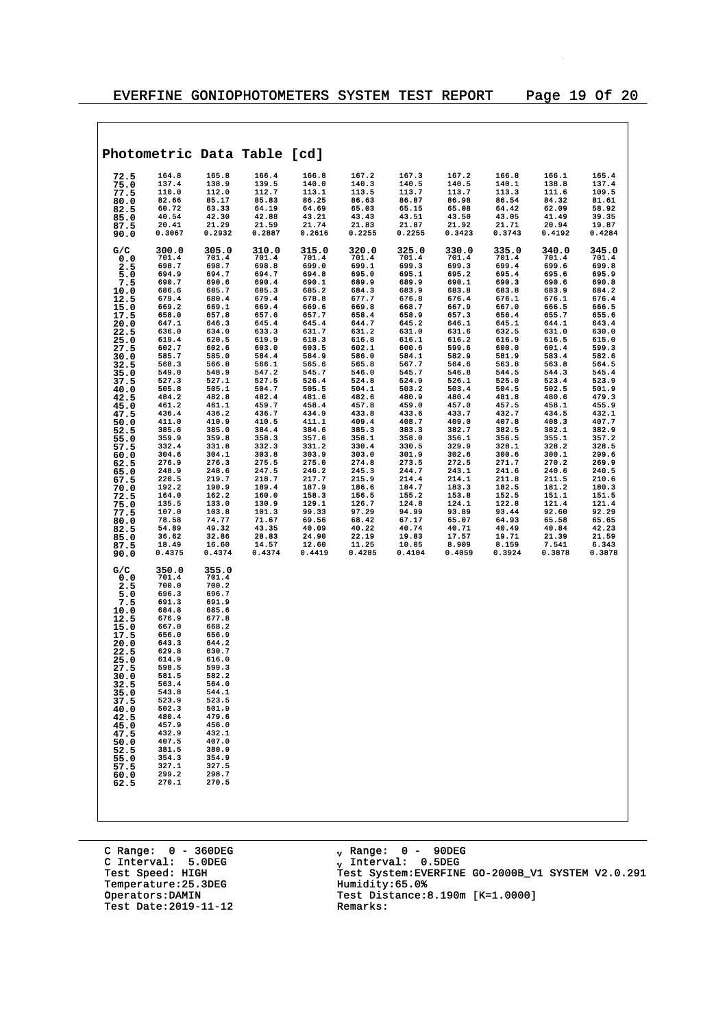$\overline{\phantom{a}}$ 

|                                                                                                                                                                                                                 |                                                                                                                                                                                                                                                 |                                                                                                                                                                                                                                                 | Photometric Data Table [cd]                                                                                                                                                                                                   |                                                                                                                                                                                                                               |                                                                                                                                                                                                                               |                                                                                                                                                                                                                               |                                                                                                                                                                                                                               |                                                                                                                                                                                                                               |                                                                                                                                                                                                                               |                                                                                                                                                                                                                               |
|-----------------------------------------------------------------------------------------------------------------------------------------------------------------------------------------------------------------|-------------------------------------------------------------------------------------------------------------------------------------------------------------------------------------------------------------------------------------------------|-------------------------------------------------------------------------------------------------------------------------------------------------------------------------------------------------------------------------------------------------|-------------------------------------------------------------------------------------------------------------------------------------------------------------------------------------------------------------------------------|-------------------------------------------------------------------------------------------------------------------------------------------------------------------------------------------------------------------------------|-------------------------------------------------------------------------------------------------------------------------------------------------------------------------------------------------------------------------------|-------------------------------------------------------------------------------------------------------------------------------------------------------------------------------------------------------------------------------|-------------------------------------------------------------------------------------------------------------------------------------------------------------------------------------------------------------------------------|-------------------------------------------------------------------------------------------------------------------------------------------------------------------------------------------------------------------------------|-------------------------------------------------------------------------------------------------------------------------------------------------------------------------------------------------------------------------------|-------------------------------------------------------------------------------------------------------------------------------------------------------------------------------------------------------------------------------|
| 72.5<br>75.0<br>77.5<br>80.0<br>82.5                                                                                                                                                                            | 164.8<br>137.4<br>110.0<br>82.66<br>60.72<br>40.54                                                                                                                                                                                              | 165.8<br>138.9<br>112.0<br>85.17<br>63.33<br>42.30                                                                                                                                                                                              | 166.4<br>139.5<br>112.7<br>85.83<br>64.19<br>42.88                                                                                                                                                                            | 166.8<br>140.0<br>113.1<br>86.25<br>64.69<br>43.21                                                                                                                                                                            | 167.2<br>140.3<br>113.5<br>86.63<br>65.03<br>43.43                                                                                                                                                                            | 167.3<br>140.5<br>113.7<br>86.87<br>65.15<br>43.51                                                                                                                                                                            | 167.2<br>140.5<br>113.7<br>86.98<br>65.08<br>43.50                                                                                                                                                                            | 166.8<br>140.1<br>113.3<br>86.54<br>64.42<br>43.05                                                                                                                                                                            | 166.1<br>138.8<br>111.6<br>84.32<br>62.09<br>41.49                                                                                                                                                                            | 165.4<br>137.4<br>109.5<br>81.61<br>58.92<br>39.35                                                                                                                                                                            |
| 85.0<br>87.5<br>90.0                                                                                                                                                                                            | 20.41<br>0.3067                                                                                                                                                                                                                                 | 21.29<br>0.2932                                                                                                                                                                                                                                 | 21.59<br>0.2887                                                                                                                                                                                                               | 21.74<br>0.2616                                                                                                                                                                                                               | 21.83<br>0.2255                                                                                                                                                                                                               | 21.87<br>0.2255                                                                                                                                                                                                               | 21.92<br>0.3423                                                                                                                                                                                                               | 21.71<br>0.3743                                                                                                                                                                                                               | 20.94<br>0.4192                                                                                                                                                                                                               | 19.87<br>0.4284                                                                                                                                                                                                               |
| G/C<br>0.0<br>2.5<br>5.0<br>7.5<br>10.0<br>12.5<br>15.0<br>17.5<br>20.0<br>22.5<br>25.0<br>27.5<br>30.0<br>32.5<br>35.0<br>37.5<br>40.0<br>42.5<br>45.0<br>47.5<br>50.0<br>52.5<br>55.0<br>57.5                 | 300.0<br>701.4<br>698.7<br>694.9<br>690.7<br>686.6<br>679.4<br>669.2<br>658.0<br>647.1<br>636.0<br>619.4<br>602.7<br>585.7<br>568.3<br>549.0<br>527.3<br>505.8<br>484.2<br>461.2<br>436.4<br>411.0<br>385.6<br>359.9<br>332.4                   | 305.0<br>701.4<br>698.7<br>694.7<br>690.6<br>685.7<br>680.4<br>669.1<br>657.8<br>646.3<br>634.0<br>620.5<br>602.6<br>585.0<br>566.8<br>548.9<br>527.1<br>505.1<br>482.8<br>461.1<br>436.2<br>410.9<br>385.0<br>359.8<br>331.8                   | 310.0<br>701.4<br>698.8<br>694.7<br>690.4<br>685.3<br>679.4<br>669.4<br>657.6<br>645.4<br>633.3<br>619.9<br>603.0<br>584.4<br>566.1<br>547.2<br>527.5<br>504.7<br>482.4<br>459.7<br>436.7<br>410.5<br>384.4<br>358.3<br>332.3 | 315.0<br>701.4<br>699.0<br>694.8<br>690.1<br>685.2<br>678.8<br>669.6<br>657.7<br>645.4<br>631.7<br>618.3<br>603.5<br>584.9<br>565.6<br>545.7<br>526.4<br>505.5<br>481.6<br>458.4<br>434.9<br>411.1<br>384.6<br>357.6<br>331.2 | 320.0<br>701.4<br>699.1<br>695.0<br>689.9<br>684.3<br>677.7<br>669.8<br>658.4<br>644.7<br>631.2<br>616.8<br>602.1<br>586.0<br>565.8<br>546.0<br>524.8<br>504.1<br>482.6<br>457.8<br>433.8<br>409.4<br>385.3<br>358.1<br>330.4 | 325.0<br>701.4<br>699.3<br>695.1<br>689.9<br>683.9<br>676.8<br>668.7<br>658.9<br>645.2<br>631.0<br>616.1<br>600.6<br>584.1<br>567.7<br>545.7<br>524.9<br>503.2<br>480.9<br>459.0<br>433.6<br>408.7<br>383.3<br>358.0<br>330.5 | 330.0<br>701.4<br>699.3<br>695.2<br>690.1<br>683.8<br>676.4<br>667.9<br>657.3<br>646.1<br>631.6<br>616.2<br>599.6<br>582.9<br>564.6<br>546.8<br>526.1<br>503.4<br>480.4<br>457.0<br>433.7<br>409.0<br>382.7<br>356.1<br>329.9 | 335.0<br>701.4<br>699.4<br>695.4<br>690.3<br>683.8<br>676.1<br>667.0<br>656.4<br>645.1<br>632.5<br>616.9<br>600.0<br>581.9<br>563.8<br>544.5<br>525.0<br>504.5<br>481.8<br>457.5<br>432.7<br>407.8<br>382.5<br>356.5<br>328.1 | 340.0<br>701.4<br>699.6<br>695.6<br>690.6<br>683.9<br>676.1<br>666.5<br>655.7<br>644.1<br>631.0<br>616.5<br>601.4<br>583.4<br>563.8<br>544.3<br>523.4<br>502.5<br>480.6<br>458.1<br>434.5<br>408.3<br>382.1<br>355.1<br>328.2 | 345.0<br>701.4<br>699.8<br>695.9<br>690.8<br>684.2<br>676.4<br>666.5<br>655.6<br>643.4<br>630.0<br>615.0<br>599.3<br>582.6<br>564.5<br>545.4<br>523.9<br>501.9<br>479.3<br>455.9<br>432.1<br>407.7<br>382.9<br>357.2<br>328.5 |
| 60.0<br>62.5<br>65.0<br>67.5<br>70.0<br>72.5<br>75.0<br>77.5<br>80.0<br>82.5<br>85.0<br>87.5<br>90.0                                                                                                            | 304.6<br>276.9<br>248.9<br>220.5<br>192.2<br>164.0<br>135.5<br>107.0<br>78.58<br>54.89<br>36.62<br>18.49<br>0.4375                                                                                                                              | 304.1<br>276.3<br>248.6<br>219.7<br>190.9<br>162.2<br>133.0<br>103.8<br>74.77<br>49.32<br>32.86<br>16.60<br>0.4374                                                                                                                              | 303.8<br>275.5<br>247.5<br>218.7<br>189.4<br>160.0<br>130.9<br>101.3<br>71.67<br>43.35<br>28.83<br>14.57<br>0.4374                                                                                                            | 303.9<br>275.0<br>246.2<br>217.7<br>187.9<br>158.3<br>129.1<br>99.33<br>69.56<br>40.09<br>24.90<br>12.60<br>0.4419                                                                                                            | 303.0<br>274.8<br>245.3<br>215.9<br>186.6<br>156.5<br>126.7<br>97.29<br>68.42<br>40.22<br>22.19<br>11.25<br>0.4285                                                                                                            | 301.9<br>273.5<br>244.7<br>214.4<br>184.7<br>155.2<br>124.8<br>94.99<br>67.17<br>40.74<br>19.83<br>10.05<br>0.4104                                                                                                            | 302.6<br>272.5<br>243.1<br>214.1<br>183.3<br>153.8<br>124.1<br>93.89<br>65.07<br>40.71<br>17.57<br>8.909<br>0.4059                                                                                                            | 300.6<br>271.7<br>241.6<br>211.8<br>182.5<br>152.5<br>122.8<br>93.44<br>64.93<br>40.49<br>19.71<br>8.159<br>0.3924                                                                                                            | 300.1<br>270.2<br>240.6<br>211.5<br>181.2<br>151.1<br>121.4<br>92.60<br>65.58<br>40.84<br>21.39<br>7.541<br>0.3878                                                                                                            | 299.6<br>269.9<br>240.5<br>210.6<br>180.3<br>151.5<br>121.4<br>92.29<br>65.65<br>42.23<br>21.59<br>6.343<br>0.3878                                                                                                            |
| G/C<br>0.0<br>2.5<br>5.0<br>7.5<br>10.0<br>12.5<br>15.0<br>17.5<br>20.0<br>22.5<br>25.0<br>27.5<br>30.0<br>32.5<br>35.0<br>37.5<br>40.0<br>42.5<br>45.0<br>47.5<br>50.0<br>52.5<br>55.0<br>57.5<br>60.0<br>62.5 | 350.0<br>701.4<br>700.0<br>696.3<br>691.3<br>684.8<br>676.9<br>667.0<br>656.0<br>643.3<br>629.8<br>614.9<br>598.5<br>581.5<br>563.4<br>543.8<br>523.9<br>502.3<br>480.4<br>457.9<br>432.9<br>407.5<br>381.5<br>354.3<br>327.1<br>299.2<br>270.1 | 355.0<br>701.4<br>700.2<br>696.7<br>691.9<br>685.6<br>677.8<br>668.2<br>656.9<br>644.2<br>630.7<br>616.0<br>599.3<br>582.2<br>564.0<br>544.1<br>523.5<br>501.9<br>479.6<br>456.0<br>432.1<br>407.0<br>380.9<br>354.9<br>327.5<br>298.7<br>270.5 |                                                                                                                                                                                                                               |                                                                                                                                                                                                                               |                                                                                                                                                                                                                               |                                                                                                                                                                                                                               |                                                                                                                                                                                                                               |                                                                                                                                                                                                                               |                                                                                                                                                                                                                               |                                                                                                                                                                                                                               |

C Range: 0 - 360DEG C Interval: 5.0DEG Test Speed: HIGH<br>Temperature:25.3DEG<br>Operators:DAMIN Test Date:  $2019-11-12$